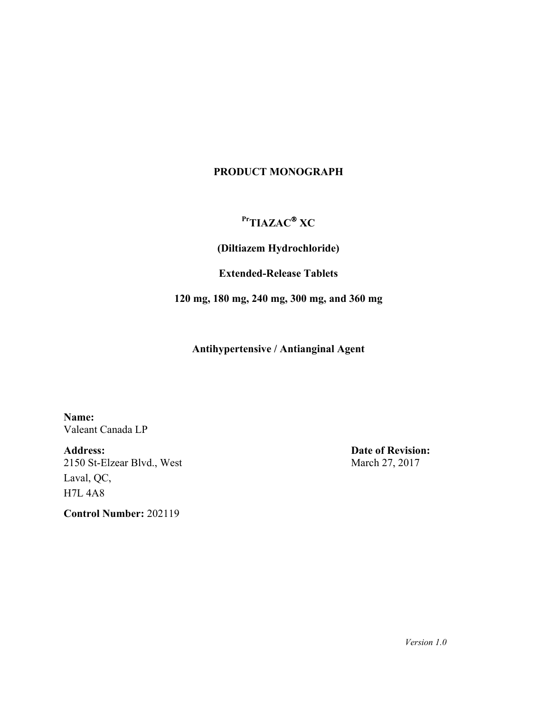## **PRODUCT MONOGRAPH**

# **PrTIAZAC XC**

**(Diltiazem Hydrochloride)**

**Extended-Release Tablets** 

**120 mg, 180 mg, 240 mg, 300 mg, and 360 mg**

**Antihypertensive / Antianginal Agent**

**Name:** Valeant Canada LP

**Address:** 2150 St-Elzear Blvd., West Laval, QC, H7L 4A8

**Control Number:** 202119

**Date of Revision:** March 27, 2017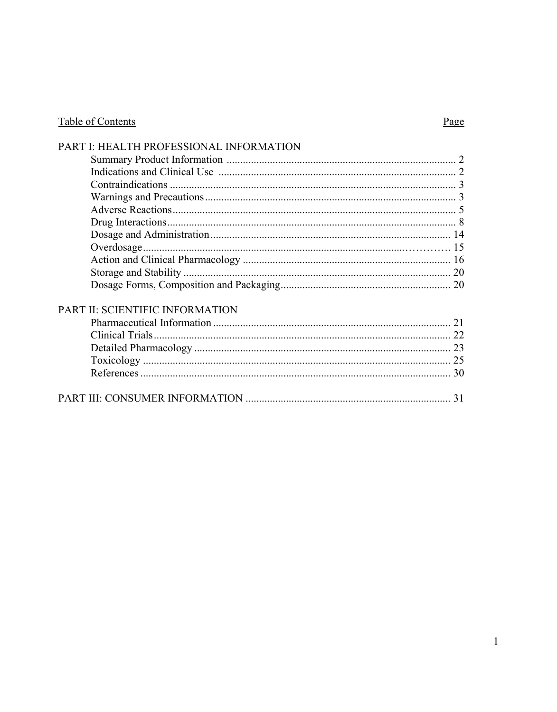# Table of Contents

# Page

| PART I: HEALTH PROFESSIONAL INFORMATION |  |
|-----------------------------------------|--|
|                                         |  |
|                                         |  |
|                                         |  |
|                                         |  |
|                                         |  |
|                                         |  |
|                                         |  |
|                                         |  |
|                                         |  |
|                                         |  |
|                                         |  |
| PART II: SCIENTIFIC INFORMATION         |  |
|                                         |  |
|                                         |  |
|                                         |  |
|                                         |  |
|                                         |  |
|                                         |  |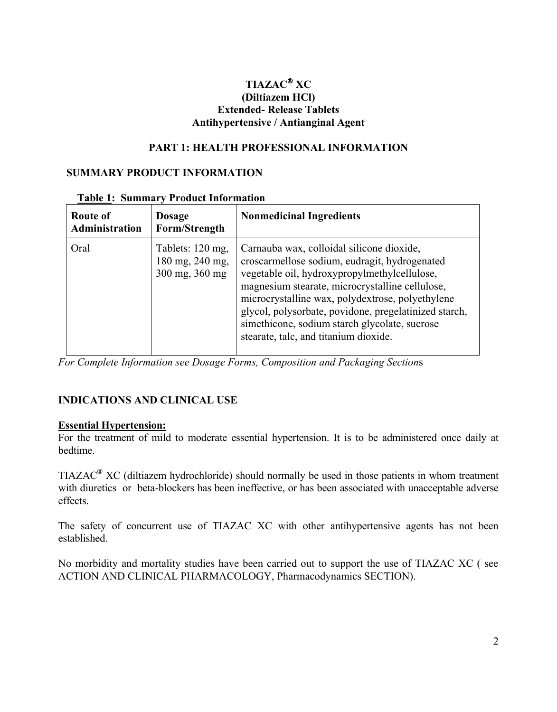## **TIAZAC XC (Diltiazem HCl) Extended- Release Tablets Antihypertensive / Antianginal Agent**

#### **PART 1: HEALTH PROFESSIONAL INFORMATION**

#### **SUMMARY PRODUCT INFORMATION**

| <b>Route of</b><br>Administration | <b>Dosage</b><br>Form/Strength                        | <b>Nonmedicinal Ingredients</b>                                                                                                                                                                                                                                                                                                                                                                      |
|-----------------------------------|-------------------------------------------------------|------------------------------------------------------------------------------------------------------------------------------------------------------------------------------------------------------------------------------------------------------------------------------------------------------------------------------------------------------------------------------------------------------|
| Oral                              | Tablets: 120 mg,<br>180 mg, 240 mg,<br>300 mg, 360 mg | Carnauba wax, colloidal silicone dioxide,<br>croscarmellose sodium, eudragit, hydrogenated<br>vegetable oil, hydroxypropylmethylcellulose,<br>magnesium stearate, microcrystalline cellulose,<br>microcrystalline wax, polydextrose, polyethylene<br>glycol, polysorbate, povidone, pregelatinized starch,<br>simethicone, sodium starch glycolate, sucrose<br>stearate, talc, and titanium dioxide. |

#### **Table 1: Summary Product Information**

*For Complete Information see Dosage Forms, Composition and Packaging Section*s

### **INDICATIONS AND CLINICAL USE**

#### **Essential Hypertension:**

For the treatment of mild to moderate essential hypertension. It is to be administered once daily at bedtime.

TIAZAC**®** XC (diltiazem hydrochloride) should normally be used in those patients in whom treatment with diuretics or beta-blockers has been ineffective, or has been associated with unacceptable adverse effects.

The safety of concurrent use of TIAZAC XC with other antihypertensive agents has not been established.

No morbidity and mortality studies have been carried out to support the use of TIAZAC XC ( see ACTION AND CLINICAL PHARMACOLOGY, Pharmacodynamics SECTION).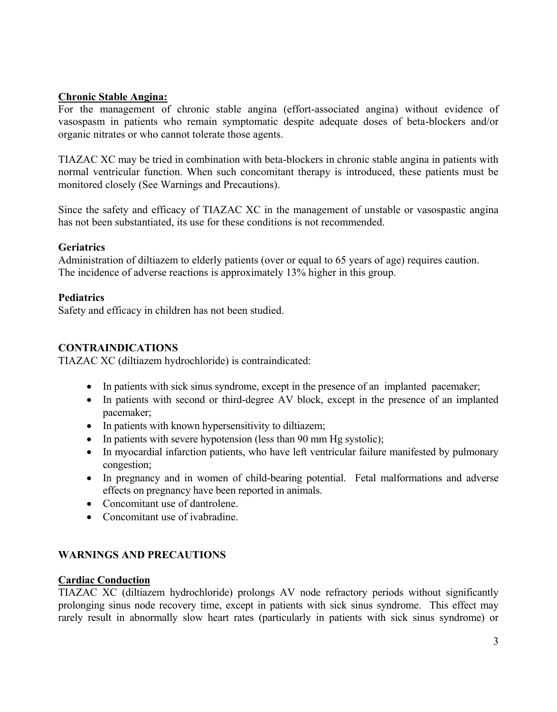#### **Chronic Stable Angina:**

For the management of chronic stable angina (effort-associated angina) without evidence of vasospasm in patients who remain symptomatic despite adequate doses of beta-blockers and/or organic nitrates or who cannot tolerate those agents.

TIAZAC XC may be tried in combination with beta-blockers in chronic stable angina in patients with normal ventricular function. When such concomitant therapy is introduced, these patients must be monitored closely (See Warnings and Precautions).

Since the safety and efficacy of TIAZAC XC in the management of unstable or vasospastic angina has not been substantiated, its use for these conditions is not recommended.

#### **Geriatrics**

Administration of diltiazem to elderly patients (over or equal to 65 years of age) requires caution. The incidence of adverse reactions is approximately 13% higher in this group.

#### **Pediatrics**

Safety and efficacy in children has not been studied.

### **CONTRAINDICATIONS**

TIAZAC XC (diltiazem hydrochloride) is contraindicated:

- In patients with sick sinus syndrome, except in the presence of an implanted pacemaker;
- In patients with second or third-degree AV block, except in the presence of an implanted pacemaker;
- In patients with known hypersensitivity to diltiazem;
- In patients with severe hypotension (less than 90 mm Hg systolic);
- In myocardial infarction patients, who have left ventricular failure manifested by pulmonary congestion;
- In pregnancy and in women of child-bearing potential. Fetal malformations and adverse effects on pregnancy have been reported in animals.
- Concomitant use of dantrolene.
- Concomitant use of ivabradine

### **WARNINGS AND PRECAUTIONS**

#### **Cardiac Conduction**

TIAZAC XC (diltiazem hydrochloride) prolongs AV node refractory periods without significantly prolonging sinus node recovery time, except in patients with sick sinus syndrome. This effect may rarely result in abnormally slow heart rates (particularly in patients with sick sinus syndrome) or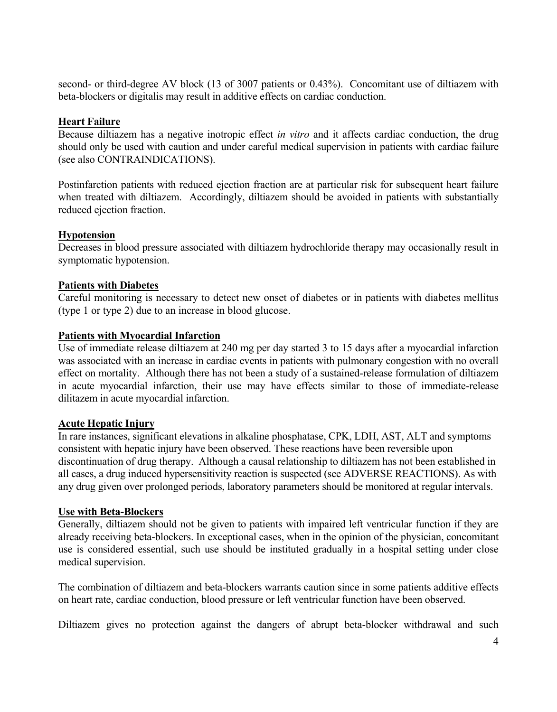second- or third-degree AV block (13 of 3007 patients or 0.43%). Concomitant use of diltiazem with beta-blockers or digitalis may result in additive effects on cardiac conduction.

#### **Heart Failure**

Because diltiazem has a negative inotropic effect *in vitro* and it affects cardiac conduction, the drug should only be used with caution and under careful medical supervision in patients with cardiac failure (see also CONTRAINDICATIONS).

Postinfarction patients with reduced ejection fraction are at particular risk for subsequent heart failure when treated with diltiazem. Accordingly, diltiazem should be avoided in patients with substantially reduced ejection fraction.

#### **Hypotension**

Decreases in blood pressure associated with diltiazem hydrochloride therapy may occasionally result in symptomatic hypotension.

#### **Patients with Diabetes**

Careful monitoring is necessary to detect new onset of diabetes or in patients with diabetes mellitus (type 1 or type 2) due to an increase in blood glucose.

#### **Patients with Myocardial Infarction**

Use of immediate release diltiazem at 240 mg per day started 3 to 15 days after a myocardial infarction was associated with an increase in cardiac events in patients with pulmonary congestion with no overall effect on mortality. Although there has not been a study of a sustained-release formulation of diltiazem in acute myocardial infarction, their use may have effects similar to those of immediate-release dilitazem in acute myocardial infarction.

#### **Acute Hepatic Injury**

In rare instances, significant elevations in alkaline phosphatase, CPK, LDH, AST, ALT and symptoms consistent with hepatic injury have been observed. These reactions have been reversible upon discontinuation of drug therapy. Although a causal relationship to diltiazem has not been established in all cases, a drug induced hypersensitivity reaction is suspected (see ADVERSE REACTIONS). As with any drug given over prolonged periods, laboratory parameters should be monitored at regular intervals.

#### **Use with Beta-Blockers**

Generally, diltiazem should not be given to patients with impaired left ventricular function if they are already receiving beta-blockers. In exceptional cases, when in the opinion of the physician, concomitant use is considered essential, such use should be instituted gradually in a hospital setting under close medical supervision.

The combination of diltiazem and beta-blockers warrants caution since in some patients additive effects on heart rate, cardiac conduction, blood pressure or left ventricular function have been observed.

Diltiazem gives no protection against the dangers of abrupt beta-blocker withdrawal and such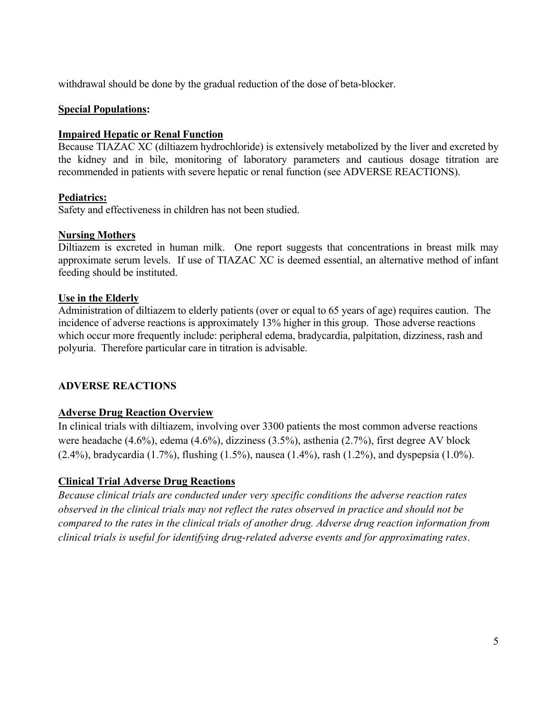withdrawal should be done by the gradual reduction of the dose of beta-blocker.

#### **Special Populations:**

#### **Impaired Hepatic or Renal Function**

Because TIAZAC XC (diltiazem hydrochloride) is extensively metabolized by the liver and excreted by the kidney and in bile, monitoring of laboratory parameters and cautious dosage titration are recommended in patients with severe hepatic or renal function (see ADVERSE REACTIONS).

#### **Pediatrics:**

Safety and effectiveness in children has not been studied.

#### **Nursing Mothers**

Diltiazem is excreted in human milk. One report suggests that concentrations in breast milk may approximate serum levels. If use of TIAZAC XC is deemed essential, an alternative method of infant feeding should be instituted.

#### **Use in the Elderly**

Administration of diltiazem to elderly patients (over or equal to 65 years of age) requires caution. The incidence of adverse reactions is approximately 13% higher in this group. Those adverse reactions which occur more frequently include: peripheral edema, bradycardia, palpitation, dizziness, rash and polyuria. Therefore particular care in titration is advisable.

### **ADVERSE REACTIONS**

### **Adverse Drug Reaction Overview**

In clinical trials with diltiazem, involving over 3300 patients the most common adverse reactions were headache (4.6%), edema (4.6%), dizziness (3.5%), asthenia (2.7%), first degree AV block (2.4%), bradycardia (1.7%), flushing (1.5%), nausea (1.4%), rash (1.2%), and dyspepsia (1.0%).

### **Clinical Trial Adverse Drug Reactions**

*Because clinical trials are conducted under very specific conditions the adverse reaction rates observed in the clinical trials may not reflect the rates observed in practice and should not be compared to the rates in the clinical trials of another drug. Adverse drug reaction information from clinical trials is useful for identifying drug-related adverse events and for approximating rates*.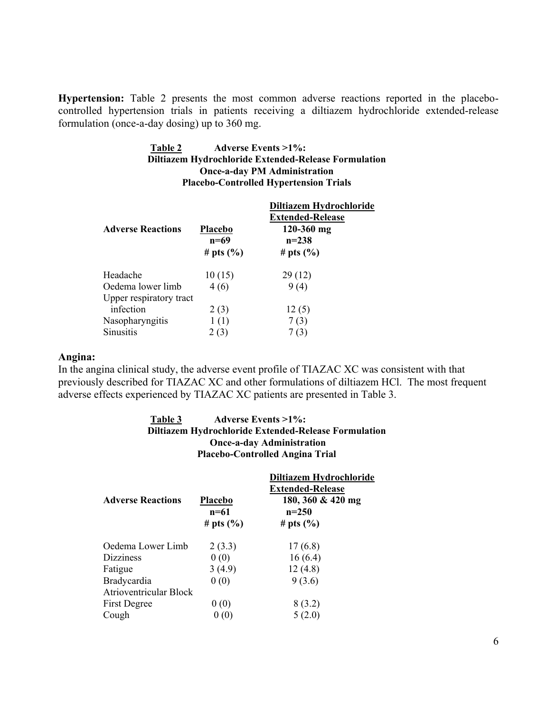**Hypertension:** Table 2 presents the most common adverse reactions reported in the placebocontrolled hypertension trials in patients receiving a diltiazem hydrochloride extended-release formulation (once-a-day dosing) up to 360 mg.

#### **Table 2 Adverse Events >1%: Diltiazem Hydrochloride Extended-Release Formulation Once-a-day PM Administration Placebo-Controlled Hypertension Trials**

| <b>Adverse Reactions</b> | <b>Placebo</b><br>$n=69$<br># pts $(\% )$ | Diltiazem Hydrochloride<br><b>Extended-Release</b><br>$120 - 360$ mg<br>$n = 238$<br># pts $(\% )$ |
|--------------------------|-------------------------------------------|----------------------------------------------------------------------------------------------------|
| Headache                 | 10(15)                                    | 29(12)                                                                                             |
| Oedema lower limb        | 4(6)                                      | 9(4)                                                                                               |
| Upper respiratory tract  |                                           |                                                                                                    |
| infection                | 2(3)                                      | 12(5)                                                                                              |
| Nasopharyngitis          | 1(1)                                      | 7(3)                                                                                               |
| <b>Sinusitis</b>         | 2(3)                                      | 7(3)                                                                                               |

#### **Angina:**

In the angina clinical study, the adverse event profile of TIAZAC XC was consistent with that previously described for TIAZAC XC and other formulations of diltiazem HCl. The most frequent adverse effects experienced by TIAZAC XC patients are presented in Table 3.

#### **Table 3 Adverse Events >1%: Diltiazem Hydrochloride Extended-Release Formulation Once-a-day Administration Placebo-Controlled Angina Trial**

|                               |                   | Diltiazem Hydrochloride<br><b>Extended-Release</b> |
|-------------------------------|-------------------|----------------------------------------------------|
| <b>Adverse Reactions</b>      | Placebo<br>$n=61$ | 180, 360 & 420 mg<br>$n=250$                       |
|                               | # pts $(\% )$     | # pts $(\% )$                                      |
| Oedema Lower Limb             | 2(3.3)            | 17(6.8)                                            |
| <b>Dizziness</b>              | 0(0)              | 16(6.4)                                            |
| Fatigue                       | 3(4.9)            | 12(4.8)                                            |
| <b>Bradycardia</b>            | 0(0)              | 9(3.6)                                             |
| <b>Atrioventricular Block</b> |                   |                                                    |
| <b>First Degree</b>           | 0(0)              | 8(3.2)                                             |
| Cough                         | (0)               | 5(2.0)                                             |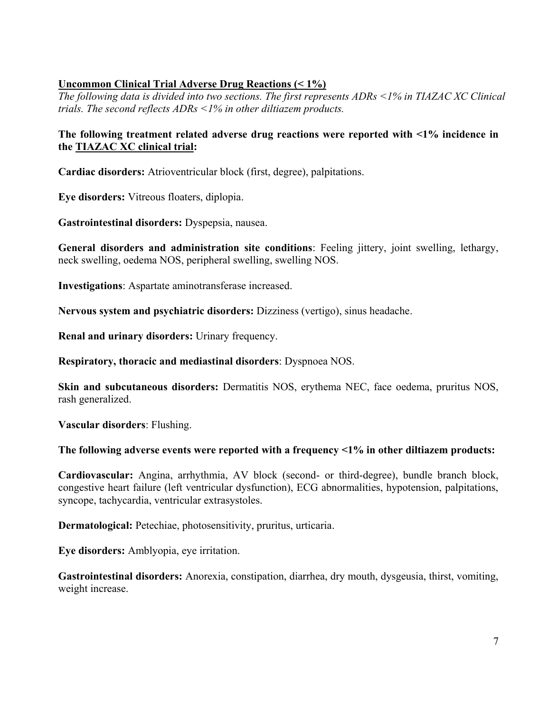## **Uncommon Clinical Trial Adverse Drug Reactions (< 1%)**

*The following data is divided into two sections. The first represents ADRs <1% in TIAZAC XC Clinical trials. The second reflects ADRs <1% in other diltiazem products.*

## **The following treatment related adverse drug reactions were reported with <1% incidence in the TIAZAC XC clinical trial:**

**Cardiac disorders:** Atrioventricular block (first, degree), palpitations.

**Eye disorders:** Vitreous floaters, diplopia.

**Gastrointestinal disorders:** Dyspepsia, nausea.

**General disorders and administration site conditions**: Feeling jittery, joint swelling, lethargy, neck swelling, oedema NOS, peripheral swelling, swelling NOS.

**Investigations**: Aspartate aminotransferase increased.

**Nervous system and psychiatric disorders:** Dizziness (vertigo), sinus headache.

**Renal and urinary disorders:** Urinary frequency.

**Respiratory, thoracic and mediastinal disorders**: Dyspnoea NOS.

**Skin and subcutaneous disorders:** Dermatitis NOS, erythema NEC, face oedema, pruritus NOS, rash generalized.

**Vascular disorders**: Flushing.

#### **The following adverse events were reported with a frequency <1% in other diltiazem products:**

**Cardiovascular:** Angina, arrhythmia, AV block (second- or third-degree), bundle branch block, congestive heart failure (left ventricular dysfunction), ECG abnormalities, hypotension, palpitations, syncope, tachycardia, ventricular extrasystoles.

**Dermatological:** Petechiae, photosensitivity, pruritus, urticaria.

**Eye disorders:** Amblyopia, eye irritation.

**Gastrointestinal disorders:** Anorexia, constipation, diarrhea, dry mouth, dysgeusia, thirst, vomiting, weight increase.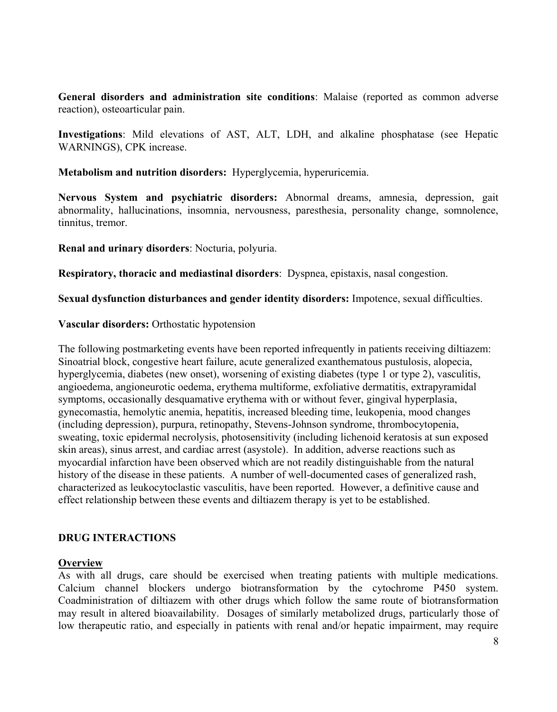**General disorders and administration site conditions**: Malaise (reported as common adverse reaction), osteoarticular pain.

**Investigations**: Mild elevations of AST, ALT, LDH, and alkaline phosphatase (see Hepatic WARNINGS), CPK increase.

**Metabolism and nutrition disorders:** Hyperglycemia, hyperuricemia.

**Nervous System and psychiatric disorders:** Abnormal dreams, amnesia, depression, gait abnormality, hallucinations, insomnia, nervousness, paresthesia, personality change, somnolence, tinnitus, tremor.

**Renal and urinary disorders**: Nocturia, polyuria.

**Respiratory, thoracic and mediastinal disorders**: Dyspnea, epistaxis, nasal congestion.

**Sexual dysfunction disturbances and gender identity disorders:** Impotence, sexual difficulties.

**Vascular disorders:** Orthostatic hypotension

The following postmarketing events have been reported infrequently in patients receiving diltiazem: Sinoatrial block, congestive heart failure, acute generalized exanthematous pustulosis, alopecia, hyperglycemia, diabetes (new onset), worsening of existing diabetes (type 1 or type 2), vasculitis, angioedema, angioneurotic oedema, erythema multiforme, exfoliative dermatitis, extrapyramidal symptoms, occasionally desquamative erythema with or without fever, gingival hyperplasia, gynecomastia, hemolytic anemia, hepatitis, increased bleeding time, leukopenia, mood changes (including depression), purpura, retinopathy, Stevens-Johnson syndrome, thrombocytopenia, sweating, toxic epidermal necrolysis, photosensitivity (including lichenoid keratosis at sun exposed skin areas), sinus arrest, and cardiac arrest (asystole). In addition, adverse reactions such as myocardial infarction have been observed which are not readily distinguishable from the natural history of the disease in these patients. A number of well-documented cases of generalized rash, characterized as leukocytoclastic vasculitis, have been reported. However, a definitive cause and effect relationship between these events and diltiazem therapy is yet to be established.

#### **DRUG INTERACTIONS**

#### **Overview**

As with all drugs, care should be exercised when treating patients with multiple medications. Calcium channel blockers undergo biotransformation by the cytochrome P450 system. Coadministration of diltiazem with other drugs which follow the same route of biotransformation may result in altered bioavailability. Dosages of similarly metabolized drugs, particularly those of low therapeutic ratio, and especially in patients with renal and/or hepatic impairment, may require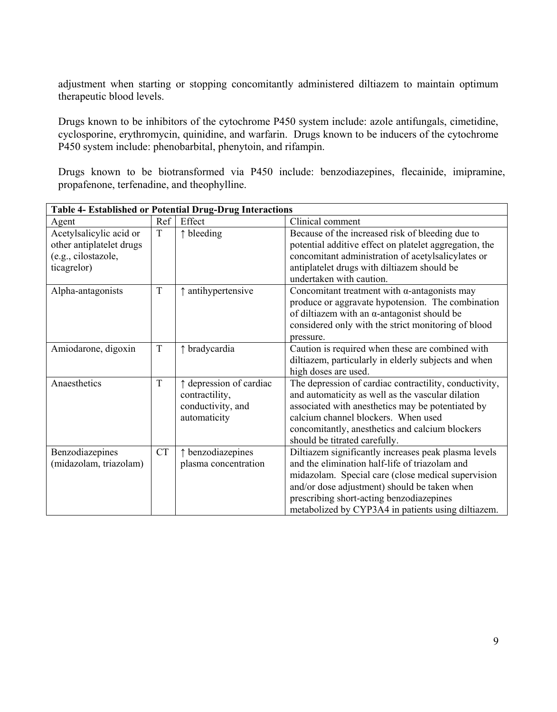adjustment when starting or stopping concomitantly administered diltiazem to maintain optimum therapeutic blood levels.

Drugs known to be inhibitors of the cytochrome P450 system include: azole antifungals, cimetidine, cyclosporine, erythromycin, quinidine, and warfarin. Drugs known to be inducers of the cytochrome P450 system include: phenobarbital, phenytoin, and rifampin.

Drugs known to be biotransformed via P450 include: benzodiazepines, flecainide, imipramine, propafenone, terfenadine, and theophylline.

| <b>Table 4- Established or Potential Drug-Drug Interactions</b>                           |           |                                                                                                                                                                                                                                                            |                                                                                                                                                                                                                                                                                                                |
|-------------------------------------------------------------------------------------------|-----------|------------------------------------------------------------------------------------------------------------------------------------------------------------------------------------------------------------------------------------------------------------|----------------------------------------------------------------------------------------------------------------------------------------------------------------------------------------------------------------------------------------------------------------------------------------------------------------|
| Agent                                                                                     | Ref       | Effect                                                                                                                                                                                                                                                     | Clinical comment                                                                                                                                                                                                                                                                                               |
| Acetylsalicylic acid or<br>other antiplatelet drugs<br>(e.g., cilostazole,<br>ticagrelor) | $\rm T$   | $\uparrow$ bleeding                                                                                                                                                                                                                                        | Because of the increased risk of bleeding due to<br>potential additive effect on platelet aggregation, the<br>concomitant administration of acetylsalicylates or<br>antiplatelet drugs with diltiazem should be<br>undertaken with caution.                                                                    |
| Alpha-antagonists                                                                         | T         | ↑ antihypertensive<br>Concomitant treatment with $\alpha$ -antagonists may<br>produce or aggravate hypotension. The combination<br>of diltiazem with an $\alpha$ -antagonist should be<br>considered only with the strict monitoring of blood<br>pressure. |                                                                                                                                                                                                                                                                                                                |
| Amiodarone, digoxin                                                                       | T         | ↑ bradycardia                                                                                                                                                                                                                                              | Caution is required when these are combined with<br>diltiazem, particularly in elderly subjects and when<br>high doses are used.                                                                                                                                                                               |
| Anaesthetics                                                                              | T         | ↑ depression of cardiac<br>contractility,<br>conductivity, and<br>automaticity                                                                                                                                                                             | The depression of cardiac contractility, conductivity,<br>and automaticity as well as the vascular dilation<br>associated with anesthetics may be potentiated by<br>calcium channel blockers. When used<br>concomitantly, anesthetics and calcium blockers<br>should be titrated carefully.                    |
| Benzodiazepines<br>(midazolam, triazolam)                                                 | <b>CT</b> | ↑ benzodiazepines<br>plasma concentration                                                                                                                                                                                                                  | Diltiazem significantly increases peak plasma levels<br>and the elimination half-life of triazolam and<br>midazolam. Special care (close medical supervision<br>and/or dose adjustment) should be taken when<br>prescribing short-acting benzodiazepines<br>metabolized by CYP3A4 in patients using diltiazem. |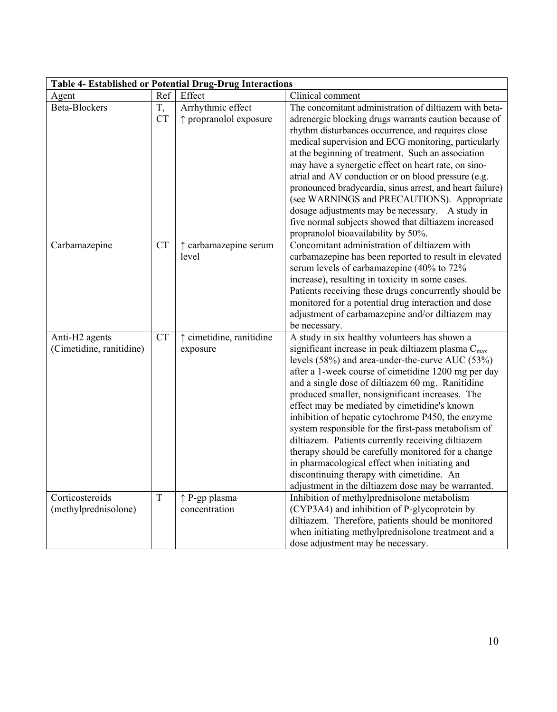| <b>Table 4- Established or Potential Drug-Drug Interactions</b> |             |                          |                                                                                              |
|-----------------------------------------------------------------|-------------|--------------------------|----------------------------------------------------------------------------------------------|
| Agent                                                           | Ref         | Effect                   | Clinical comment                                                                             |
| <b>Beta-Blockers</b>                                            | T,          | Arrhythmic effect        | The concomitant administration of diltiazem with beta-                                       |
|                                                                 | <b>CT</b>   | ↑ propranolol exposure   | adrenergic blocking drugs warrants caution because of                                        |
|                                                                 |             |                          | rhythm disturbances occurrence, and requires close                                           |
|                                                                 |             |                          | medical supervision and ECG monitoring, particularly                                         |
|                                                                 |             |                          | at the beginning of treatment. Such an association                                           |
|                                                                 |             |                          | may have a synergetic effect on heart rate, on sino-                                         |
|                                                                 |             |                          | atrial and AV conduction or on blood pressure (e.g.                                          |
|                                                                 |             |                          | pronounced bradycardia, sinus arrest, and heart failure)                                     |
|                                                                 |             |                          | (see WARNINGS and PRECAUTIONS). Appropriate                                                  |
|                                                                 |             |                          | dosage adjustments may be necessary. A study in                                              |
|                                                                 |             |                          | five normal subjects showed that diltiazem increased                                         |
|                                                                 |             |                          | propranolol bioavailability by 50%.                                                          |
| Carbamazepine                                                   | <b>CT</b>   | ↑ carbamazepine serum    | Concomitant administration of diltiazem with                                                 |
|                                                                 |             | level                    | carbamazepine has been reported to result in elevated                                        |
|                                                                 |             |                          | serum levels of carbamazepine (40% to 72%<br>increase), resulting in toxicity in some cases. |
|                                                                 |             |                          | Patients receiving these drugs concurrently should be                                        |
|                                                                 |             |                          | monitored for a potential drug interaction and dose                                          |
|                                                                 |             |                          | adjustment of carbamazepine and/or diltiazem may                                             |
|                                                                 |             |                          | be necessary.                                                                                |
| Anti-H <sub>2</sub> agents                                      | <b>CT</b>   | ↑ cimetidine, ranitidine | A study in six healthy volunteers has shown a                                                |
| (Cimetidine, ranitidine)                                        |             | exposure                 | significant increase in peak diltiazem plasma $C_{\text{max}}$                               |
|                                                                 |             |                          | levels (58%) and area-under-the-curve AUC (53%)                                              |
|                                                                 |             |                          | after a 1-week course of cimetidine 1200 mg per day                                          |
|                                                                 |             |                          | and a single dose of diltiazem 60 mg. Ranitidine                                             |
|                                                                 |             |                          | produced smaller, nonsignificant increases. The                                              |
|                                                                 |             |                          | effect may be mediated by cimetidine's known                                                 |
|                                                                 |             |                          | inhibition of hepatic cytochrome P450, the enzyme                                            |
|                                                                 |             |                          | system responsible for the first-pass metabolism of                                          |
|                                                                 |             |                          | diltiazem. Patients currently receiving diltiazem                                            |
|                                                                 |             |                          | therapy should be carefully monitored for a change                                           |
|                                                                 |             |                          | in pharmacological effect when initiating and                                                |
|                                                                 |             |                          | discontinuing therapy with cimetidine. An                                                    |
|                                                                 |             |                          | adjustment in the diltiazem dose may be warranted.                                           |
| Corticosteroids                                                 | $\mathbf T$ | ↑ P-gp plasma            | Inhibition of methylprednisolone metabolism                                                  |
| (methylprednisolone)                                            |             | concentration            | (CYP3A4) and inhibition of P-glycoprotein by                                                 |
|                                                                 |             |                          | diltiazem. Therefore, patients should be monitored                                           |
|                                                                 |             |                          | when initiating methylprednisolone treatment and a                                           |
|                                                                 |             |                          | dose adjustment may be necessary.                                                            |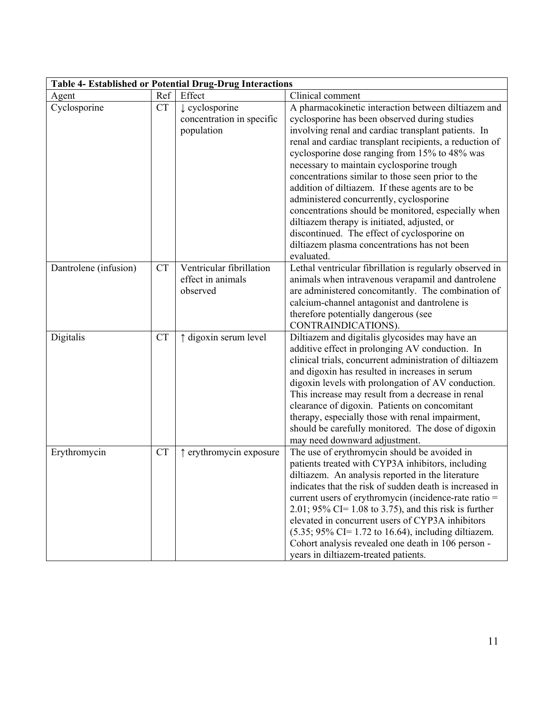| <b>Table 4- Established or Potential Drug-Drug Interactions</b> |           |                                                                      |                                                                                                                                                                                                                                                                                                                                                                                                                                                                                                                                                                                                                                                                                              |
|-----------------------------------------------------------------|-----------|----------------------------------------------------------------------|----------------------------------------------------------------------------------------------------------------------------------------------------------------------------------------------------------------------------------------------------------------------------------------------------------------------------------------------------------------------------------------------------------------------------------------------------------------------------------------------------------------------------------------------------------------------------------------------------------------------------------------------------------------------------------------------|
| Agent                                                           | Ref       | Effect                                                               | Clinical comment                                                                                                                                                                                                                                                                                                                                                                                                                                                                                                                                                                                                                                                                             |
| Cyclosporine                                                    | <b>CT</b> | $\downarrow$ cyclosporine<br>concentration in specific<br>population | A pharmacokinetic interaction between diltiazem and<br>cyclosporine has been observed during studies<br>involving renal and cardiac transplant patients. In<br>renal and cardiac transplant recipients, a reduction of<br>cyclosporine dose ranging from 15% to 48% was<br>necessary to maintain cyclosporine trough<br>concentrations similar to those seen prior to the<br>addition of diltiazem. If these agents are to be<br>administered concurrently, cyclosporine<br>concentrations should be monitored, especially when<br>diltiazem therapy is initiated, adjusted, or<br>discontinued. The effect of cyclosporine on<br>diltiazem plasma concentrations has not been<br>evaluated. |
| Dantrolene (infusion)                                           | <b>CT</b> | Ventricular fibrillation<br>effect in animals<br>observed            | Lethal ventricular fibrillation is regularly observed in<br>animals when intravenous verapamil and dantrolene<br>are administered concomitantly. The combination of<br>calcium-channel antagonist and dantrolene is<br>therefore potentially dangerous (see<br>CONTRAINDICATIONS).                                                                                                                                                                                                                                                                                                                                                                                                           |
| Digitalis                                                       | <b>CT</b> | ↑ digoxin serum level                                                | Diltiazem and digitalis glycosides may have an<br>additive effect in prolonging AV conduction. In<br>clinical trials, concurrent administration of diltiazem<br>and digoxin has resulted in increases in serum<br>digoxin levels with prolongation of AV conduction.<br>This increase may result from a decrease in renal<br>clearance of digoxin. Patients on concomitant<br>therapy, especially those with renal impairment,<br>should be carefully monitored. The dose of digoxin<br>may need downward adjustment.                                                                                                                                                                        |
| Erythromycin                                                    | <b>CT</b> | ↑ erythromycin exposure                                              | The use of erythromycin should be avoided in<br>patients treated with CYP3A inhibitors, including<br>diltiazem. An analysis reported in the literature<br>indicates that the risk of sudden death is increased in<br>current users of erythromycin (incidence-rate ratio =<br>2.01; 95% CI= 1.08 to 3.75), and this risk is further<br>elevated in concurrent users of CYP3A inhibitors<br>$(5.35; 95\% \text{ CI} = 1.72 \text{ to } 16.64)$ , including diltiazem.<br>Cohort analysis revealed one death in 106 person -<br>years in diltiazem-treated patients.                                                                                                                           |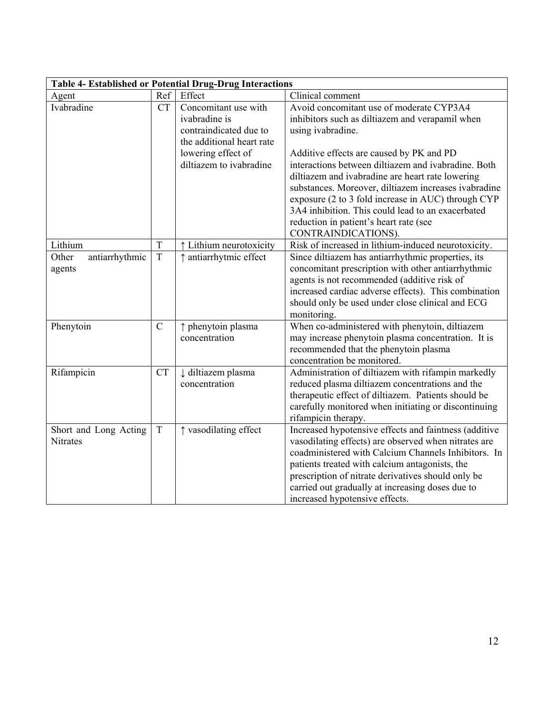| <b>Table 4- Established or Potential Drug-Drug Interactions</b> |               |                               |                                                       |
|-----------------------------------------------------------------|---------------|-------------------------------|-------------------------------------------------------|
| Agent                                                           | Ref           | Effect                        | Clinical comment                                      |
| Ivabradine                                                      | <b>CT</b>     | Concomitant use with          | Avoid concomitant use of moderate CYP3A4              |
|                                                                 |               | ivabradine is                 | inhibitors such as diltiazem and verapamil when       |
|                                                                 |               | contraindicated due to        | using ivabradine.                                     |
|                                                                 |               | the additional heart rate     |                                                       |
|                                                                 |               | lowering effect of            | Additive effects are caused by PK and PD              |
|                                                                 |               | diltiazem to ivabradine       | interactions between diltiazem and ivabradine. Both   |
|                                                                 |               |                               | diltiazem and ivabradine are heart rate lowering      |
|                                                                 |               |                               | substances. Moreover, diltiazem increases ivabradine  |
|                                                                 |               |                               | exposure (2 to 3 fold increase in AUC) through CYP    |
|                                                                 |               |                               | 3A4 inhibition. This could lead to an exacerbated     |
|                                                                 |               |                               | reduction in patient's heart rate (see                |
|                                                                 |               |                               | CONTRAINDICATIONS).                                   |
| Lithium                                                         | T             | ↑ Lithium neurotoxicity       | Risk of increased in lithium-induced neurotoxicity.   |
| Other<br>antiarrhythmic                                         | T             | ↑ antiarrhytmic effect        | Since diltiazem has antiarrhythmic properties, its    |
| agents                                                          |               |                               | concomitant prescription with other antiarrhythmic    |
|                                                                 |               |                               | agents is not recommended (additive risk of           |
|                                                                 |               |                               | increased cardiac adverse effects). This combination  |
|                                                                 |               |                               | should only be used under close clinical and ECG      |
|                                                                 |               |                               | monitoring.                                           |
| Phenytoin                                                       | $\mathcal{C}$ | ↑ phenytoin plasma            | When co-administered with phenytoin, diltiazem        |
|                                                                 |               | concentration                 | may increase phenytoin plasma concentration. It is    |
|                                                                 |               |                               | recommended that the phenytoin plasma                 |
|                                                                 |               |                               | concentration be monitored.                           |
| Rifampicin                                                      | <b>CT</b>     | $\downarrow$ diltiazem plasma | Administration of diltiazem with rifampin markedly    |
|                                                                 |               | concentration                 | reduced plasma diltiazem concentrations and the       |
|                                                                 |               |                               | therapeutic effect of diltiazem. Patients should be   |
|                                                                 |               |                               | carefully monitored when initiating or discontinuing  |
|                                                                 |               |                               | rifampicin therapy.                                   |
| Short and Long Acting                                           | T             | ↑ vasodilating effect         | Increased hypotensive effects and faintness (additive |
| <b>Nitrates</b>                                                 |               |                               | vasodilating effects) are observed when nitrates are  |
|                                                                 |               |                               | coadministered with Calcium Channels Inhibitors. In   |
|                                                                 |               |                               | patients treated with calcium antagonists, the        |
|                                                                 |               |                               | prescription of nitrate derivatives should only be    |
|                                                                 |               |                               | carried out gradually at increasing doses due to      |
|                                                                 |               |                               | increased hypotensive effects.                        |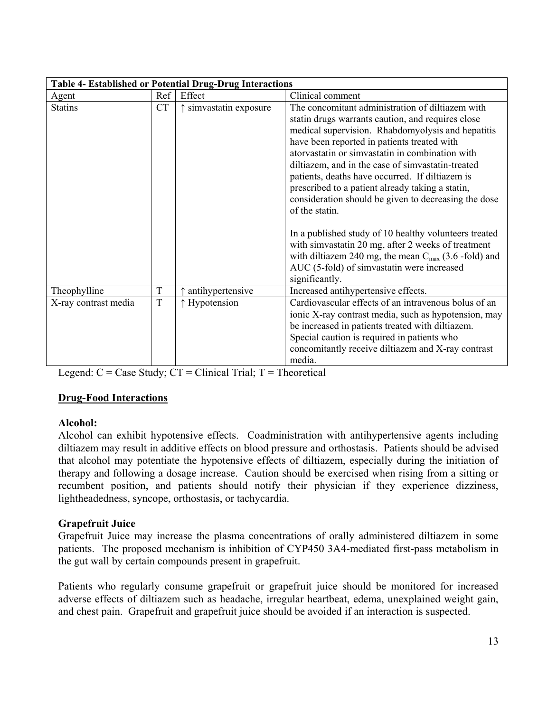| <b>Table 4- Established or Potential Drug-Drug Interactions</b> |           |                                 |                                                                                                                                                                                                                                                                                                                                                                                                                                                                                                                                                                                                                                                                                                                                     |
|-----------------------------------------------------------------|-----------|---------------------------------|-------------------------------------------------------------------------------------------------------------------------------------------------------------------------------------------------------------------------------------------------------------------------------------------------------------------------------------------------------------------------------------------------------------------------------------------------------------------------------------------------------------------------------------------------------------------------------------------------------------------------------------------------------------------------------------------------------------------------------------|
| Agent                                                           | Ref       | Effect                          | Clinical comment                                                                                                                                                                                                                                                                                                                                                                                                                                                                                                                                                                                                                                                                                                                    |
| <b>Statins</b>                                                  | <b>CT</b> | $\uparrow$ simvastatin exposure | The concomitant administration of diltiazem with<br>statin drugs warrants caution, and requires close<br>medical supervision. Rhabdomyolysis and hepatitis<br>have been reported in patients treated with<br>atorvastatin or simvastatin in combination with<br>diltiazem, and in the case of simvastatin-treated<br>patients, deaths have occurred. If diltiazem is<br>prescribed to a patient already taking a statin,<br>consideration should be given to decreasing the dose<br>of the statin.<br>In a published study of 10 healthy volunteers treated<br>with simvastatin 20 mg, after 2 weeks of treatment<br>with diltiazem 240 mg, the mean $C_{\text{max}}$ (3.6 -fold) and<br>AUC (5-fold) of simvastatin were increased |
| Theophylline                                                    | T         | antihypertensive                | significantly.<br>Increased antihypertensive effects.                                                                                                                                                                                                                                                                                                                                                                                                                                                                                                                                                                                                                                                                               |
| X-ray contrast media                                            | T         | ↑ Hypotension                   | Cardiovascular effects of an intravenous bolus of an<br>ionic X-ray contrast media, such as hypotension, may<br>be increased in patients treated with diltiazem.<br>Special caution is required in patients who<br>concomitantly receive diltiazem and X-ray contrast<br>media.                                                                                                                                                                                                                                                                                                                                                                                                                                                     |

Legend:  $C = Case Study$ ;  $CT = Clinical Trial$ ;  $T = Theoretical$ 

### **Drug-Food Interactions**

### **Alcohol:**

Alcohol can exhibit hypotensive effects. Coadministration with antihypertensive agents including diltiazem may result in additive effects on blood pressure and orthostasis. Patients should be advised that alcohol may potentiate the hypotensive effects of diltiazem, especially during the initiation of therapy and following a dosage increase. Caution should be exercised when rising from a sitting or recumbent position, and patients should notify their physician if they experience dizziness, lightheadedness, syncope, orthostasis, or tachycardia.

### **Grapefruit Juice**

Grapefruit Juice may increase the plasma concentrations of orally administered diltiazem in some patients. The proposed mechanism is inhibition of CYP450 3A4-mediated first-pass metabolism in the gut wall by certain compounds present in grapefruit.

Patients who regularly consume grapefruit or grapefruit juice should be monitored for increased adverse effects of diltiazem such as headache, irregular heartbeat, edema, unexplained weight gain, and chest pain. Grapefruit and grapefruit juice should be avoided if an interaction is suspected.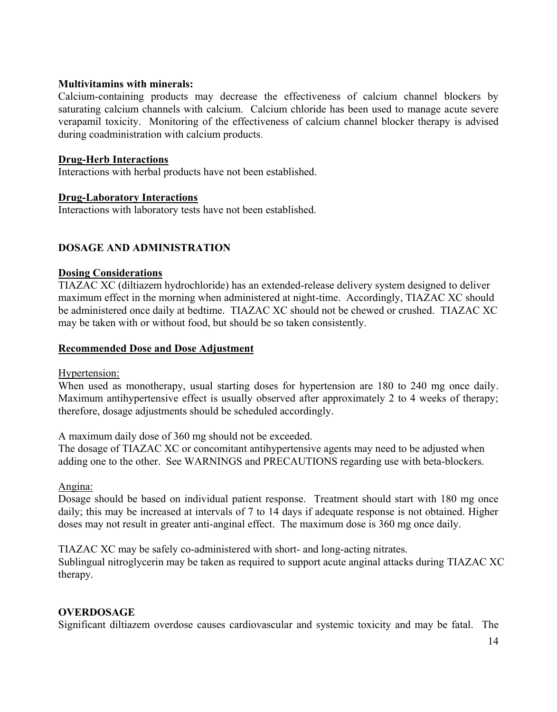#### **Multivitamins with minerals:**

Calcium-containing products may decrease the effectiveness of calcium channel blockers by saturating calcium channels with calcium. Calcium chloride has been used to manage acute severe verapamil toxicity. Monitoring of the effectiveness of calcium channel blocker therapy is advised during coadministration with calcium products.

#### **Drug-Herb Interactions**

Interactions with herbal products have not been established.

#### **Drug-Laboratory Interactions**

Interactions with laboratory tests have not been established.

### **DOSAGE AND ADMINISTRATION**

#### **Dosing Considerations**

TIAZAC XC (diltiazem hydrochloride) has an extended-release delivery system designed to deliver maximum effect in the morning when administered at night-time. Accordingly, TIAZAC XC should be administered once daily at bedtime. TIAZAC XC should not be chewed or crushed. TIAZAC XC may be taken with or without food, but should be so taken consistently.

#### **Recommended Dose and Dose Adjustment**

#### Hypertension:

When used as monotherapy, usual starting doses for hypertension are 180 to 240 mg once daily. Maximum antihypertensive effect is usually observed after approximately 2 to 4 weeks of therapy; therefore, dosage adjustments should be scheduled accordingly.

A maximum daily dose of 360 mg should not be exceeded.

The dosage of TIAZAC XC or concomitant antihypertensive agents may need to be adjusted when adding one to the other. See WARNINGS and PRECAUTIONS regarding use with beta-blockers.

### Angina:

Dosage should be based on individual patient response. Treatment should start with 180 mg once daily; this may be increased at intervals of 7 to 14 days if adequate response is not obtained. Higher doses may not result in greater anti-anginal effect. The maximum dose is 360 mg once daily.

TIAZAC XC may be safely co-administered with short- and long-acting nitrates. Sublingual nitroglycerin may be taken as required to support acute anginal attacks during TIAZAC XC therapy.

### **OVERDOSAGE**

Significant diltiazem overdose causes cardiovascular and systemic toxicity and may be fatal. The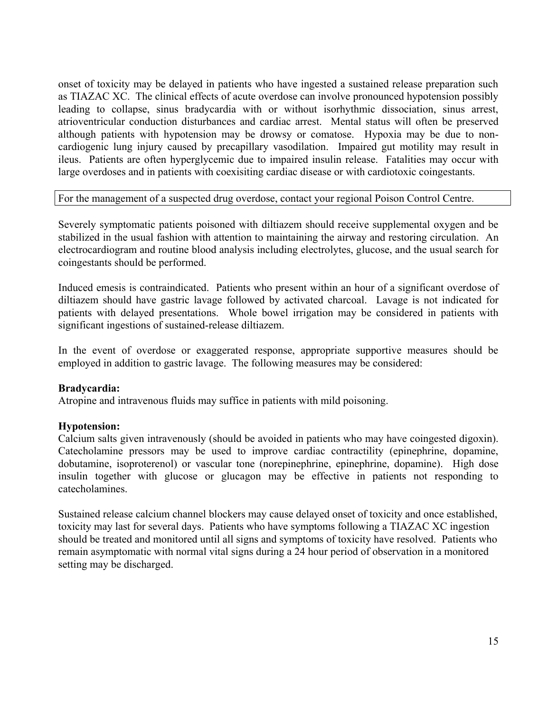onset of toxicity may be delayed in patients who have ingested a sustained release preparation such as TIAZAC XC. The clinical effects of acute overdose can involve pronounced hypotension possibly leading to collapse, sinus bradycardia with or without isorhythmic dissociation, sinus arrest, atrioventricular conduction disturbances and cardiac arrest. Mental status will often be preserved although patients with hypotension may be drowsy or comatose. Hypoxia may be due to noncardiogenic lung injury caused by precapillary vasodilation. Impaired gut motility may result in ileus. Patients are often hyperglycemic due to impaired insulin release. Fatalities may occur with large overdoses and in patients with coexisiting cardiac disease or with cardiotoxic coingestants.

#### For the management of a suspected drug overdose, contact your regional Poison Control Centre.

Severely symptomatic patients poisoned with diltiazem should receive supplemental oxygen and be stabilized in the usual fashion with attention to maintaining the airway and restoring circulation. An electrocardiogram and routine blood analysis including electrolytes, glucose, and the usual search for coingestants should be performed.

Induced emesis is contraindicated. Patients who present within an hour of a significant overdose of diltiazem should have gastric lavage followed by activated charcoal. Lavage is not indicated for patients with delayed presentations. Whole bowel irrigation may be considered in patients with significant ingestions of sustained-release diltiazem.

In the event of overdose or exaggerated response, appropriate supportive measures should be employed in addition to gastric lavage. The following measures may be considered:

#### **Bradycardia:**

Atropine and intravenous fluids may suffice in patients with mild poisoning.

#### **Hypotension:**

Calcium salts given intravenously (should be avoided in patients who may have coingested digoxin). Catecholamine pressors may be used to improve cardiac contractility (epinephrine, dopamine, dobutamine, isoproterenol) or vascular tone (norepinephrine, epinephrine, dopamine). High dose insulin together with glucose or glucagon may be effective in patients not responding to catecholamines.

Sustained release calcium channel blockers may cause delayed onset of toxicity and once established, toxicity may last for several days. Patients who have symptoms following a TIAZAC XC ingestion should be treated and monitored until all signs and symptoms of toxicity have resolved. Patients who remain asymptomatic with normal vital signs during a 24 hour period of observation in a monitored setting may be discharged.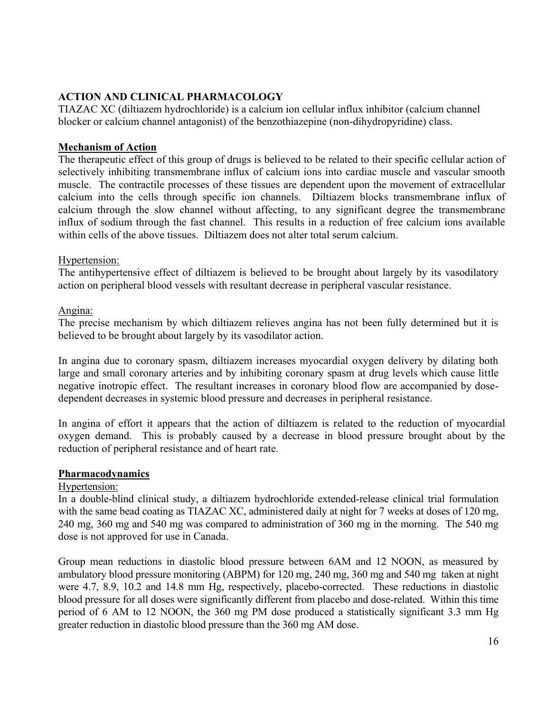# **ACTION AND CLINICAL PHARMACOLOGY**

TIAZAC XC (diltiazem hydrochloride) is a calcium ion cellular influx inhibitor (calcium channel blocker or calcium channel antagonist) of the benzothiazepine (non-dihydropyridine) class.

## **Mechanism of Action**

The therapeutic effect of this group of drugs is believed to be related to their specific cellular action of selectively inhibiting transmembrane influx of calcium ions into cardiac muscle and vascular smooth muscle. The contractile processes of these tissues are dependent upon the movement of extracellular calcium into the cells through specific ion channels. Diltiazem blocks transmembrane influx of calcium through the slow channel without affecting, to any significant degree the transmembrane influx of sodium through the fast channel. This results in a reduction of free calcium ions available within cells of the above tissues. Diltiazem does not alter total serum calcium.

## Hypertension:

The antihypertensive effect of diltiazem is believed to be brought about largely by its vasodilatory action on peripheral blood vessels with resultant decrease in peripheral vascular resistance.

# Angina:

The precise mechanism by which diltiazem relieves angina has not been fully determined but it is believed to be brought about largely by its vasodilator action.

In angina due to coronary spasm, diltiazem increases myocardial oxygen delivery by dilating both large and small coronary arteries and by inhibiting coronary spasm at drug levels which cause little negative inotropic effect. The resultant increases in coronary blood flow are accompanied by dosedependent decreases in systemic blood pressure and decreases in peripheral resistance.

In angina of effort it appears that the action of diltiazem is related to the reduction of myocardial oxygen demand. This is probably caused by a decrease in blood pressure brought about by the reduction of peripheral resistance and of heart rate.

# **Pharmacodynamics**

### Hypertension:

In a double-blind clinical study, a diltiazem hydrochloride extended-release clinical trial formulation with the same bead coating as TIAZAC XC, administered daily at night for 7 weeks at doses of 120 mg, 240 mg, 360 mg and 540 mg was compared to administration of 360 mg in the morning. The 540 mg dose is not approved for use in Canada.

Group mean reductions in diastolic blood pressure between 6AM and 12 NOON, as measured by ambulatory blood pressure monitoring (ABPM) for 120 mg, 240 mg, 360 mg and 540 mg taken at night were 4.7, 8.9, 10.2 and 14.8 mm Hg, respectively, placebo-corrected. These reductions in diastolic blood pressure for all doses were significantly different from placebo and dose-related. Within this time period of 6 AM to 12 NOON, the 360 mg PM dose produced a statistically significant 3.3 mm Hg greater reduction in diastolic blood pressure than the 360 mg AM dose.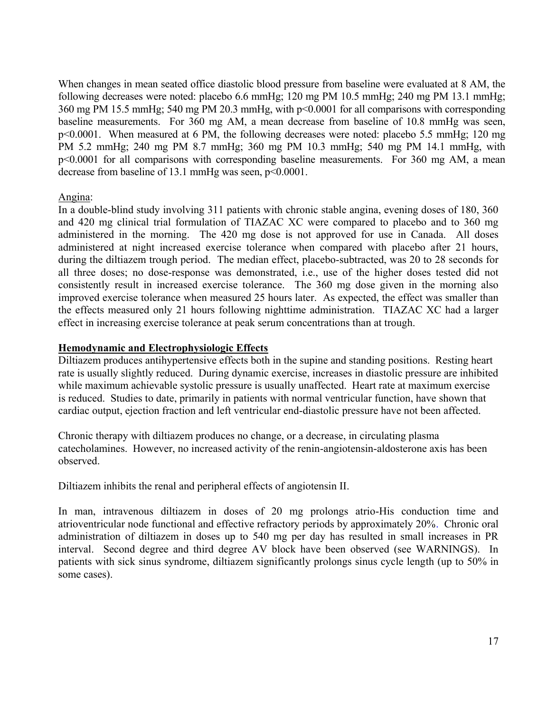When changes in mean seated office diastolic blood pressure from baseline were evaluated at 8 AM, the following decreases were noted: placebo 6.6 mmHg; 120 mg PM 10.5 mmHg; 240 mg PM 13.1 mmHg; 360 mg PM 15.5 mmHg; 540 mg PM 20.3 mmHg, with p<0.0001 for all comparisons with corresponding baseline measurements. For 360 mg AM, a mean decrease from baseline of 10.8 mmHg was seen, p<0.0001. When measured at 6 PM, the following decreases were noted: placebo 5.5 mmHg; 120 mg PM 5.2 mmHg; 240 mg PM 8.7 mmHg; 360 mg PM 10.3 mmHg; 540 mg PM 14.1 mmHg, with p<0.0001 for all comparisons with corresponding baseline measurements. For 360 mg AM, a mean decrease from baseline of 13.1 mmHg was seen, p<0.0001.

#### Angina:

In a double-blind study involving 311 patients with chronic stable angina, evening doses of 180, 360 and 420 mg clinical trial formulation of TIAZAC XC were compared to placebo and to 360 mg administered in the morning. The 420 mg dose is not approved for use in Canada. All doses administered at night increased exercise tolerance when compared with placebo after 21 hours, during the diltiazem trough period. The median effect, placebo-subtracted, was 20 to 28 seconds for all three doses; no dose-response was demonstrated, i.e., use of the higher doses tested did not consistently result in increased exercise tolerance. The 360 mg dose given in the morning also improved exercise tolerance when measured 25 hours later. As expected, the effect was smaller than the effects measured only 21 hours following nighttime administration. TIAZAC XC had a larger effect in increasing exercise tolerance at peak serum concentrations than at trough.

#### **Hemodynamic and Electrophysiologic Effects**

Diltiazem produces antihypertensive effects both in the supine and standing positions. Resting heart rate is usually slightly reduced. During dynamic exercise, increases in diastolic pressure are inhibited while maximum achievable systolic pressure is usually unaffected. Heart rate at maximum exercise is reduced. Studies to date, primarily in patients with normal ventricular function, have shown that cardiac output, ejection fraction and left ventricular end-diastolic pressure have not been affected.

Chronic therapy with diltiazem produces no change, or a decrease, in circulating plasma catecholamines. However, no increased activity of the renin-angiotensin-aldosterone axis has been observed.

Diltiazem inhibits the renal and peripheral effects of angiotensin II.

In man, intravenous diltiazem in doses of 20 mg prolongs atrio-His conduction time and atrioventricular node functional and effective refractory periods by approximately 20%. Chronic oral administration of diltiazem in doses up to 540 mg per day has resulted in small increases in PR interval. Second degree and third degree AV block have been observed (see WARNINGS). In patients with sick sinus syndrome, diltiazem significantly prolongs sinus cycle length (up to 50% in some cases).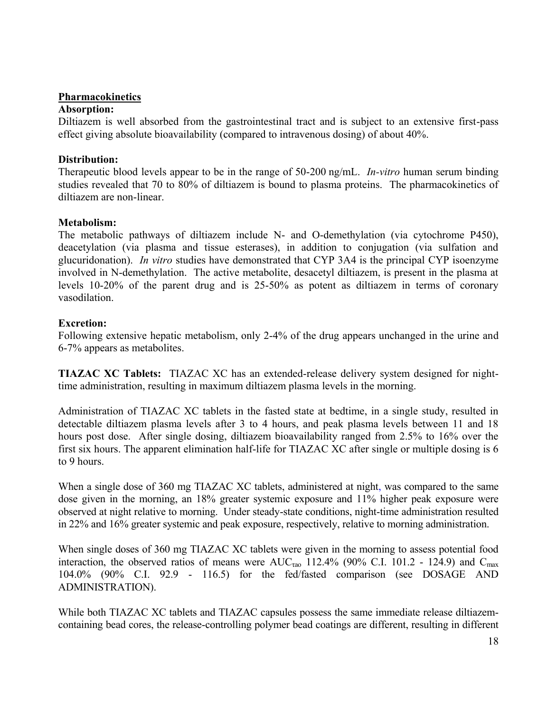#### **Pharmacokinetics**

#### **Absorption:**

Diltiazem is well absorbed from the gastrointestinal tract and is subject to an extensive first-pass effect giving absolute bioavailability (compared to intravenous dosing) of about 40%.

#### **Distribution:**

Therapeutic blood levels appear to be in the range of 50-200 ng/mL. *In-vitro* human serum binding studies revealed that 70 to 80% of diltiazem is bound to plasma proteins. The pharmacokinetics of diltiazem are non-linear.

#### **Metabolism:**

The metabolic pathways of diltiazem include N- and O-demethylation (via cytochrome P450), deacetylation (via plasma and tissue esterases), in addition to conjugation (via sulfation and glucuridonation). *In vitro* studies have demonstrated that CYP 3A4 is the principal CYP isoenzyme involved in N-demethylation. The active metabolite, desacetyl diltiazem, is present in the plasma at levels 10-20% of the parent drug and is 25-50% as potent as diltiazem in terms of coronary vasodilation.

#### **Excretion:**

Following extensive hepatic metabolism, only 2-4% of the drug appears unchanged in the urine and 6-7% appears as metabolites.

**TIAZAC XC Tablets:** TIAZAC XC has an extended-release delivery system designed for nighttime administration, resulting in maximum diltiazem plasma levels in the morning.

Administration of TIAZAC XC tablets in the fasted state at bedtime, in a single study, resulted in detectable diltiazem plasma levels after 3 to 4 hours, and peak plasma levels between 11 and 18 hours post dose. After single dosing, diltiazem bioavailability ranged from 2.5% to 16% over the first six hours. The apparent elimination half-life for TIAZAC XC after single or multiple dosing is 6 to 9 hours.

When a single dose of 360 mg TIAZAC XC tablets, administered at night, was compared to the same dose given in the morning, an 18% greater systemic exposure and 11% higher peak exposure were observed at night relative to morning. Under steady-state conditions, night-time administration resulted in 22% and 16% greater systemic and peak exposure, respectively, relative to morning administration.

When single doses of 360 mg TIAZAC XC tablets were given in the morning to assess potential food interaction, the observed ratios of means were  $AUC_{\text{rao}}$  112.4% (90% C.I. 101.2 - 124.9) and  $C_{\text{max}}$ 104.0% (90% C.I. 92.9 - 116.5) for the fed/fasted comparison (see DOSAGE AND ADMINISTRATION).

While both TIAZAC XC tablets and TIAZAC capsules possess the same immediate release diltiazemcontaining bead cores, the release-controlling polymer bead coatings are different, resulting in different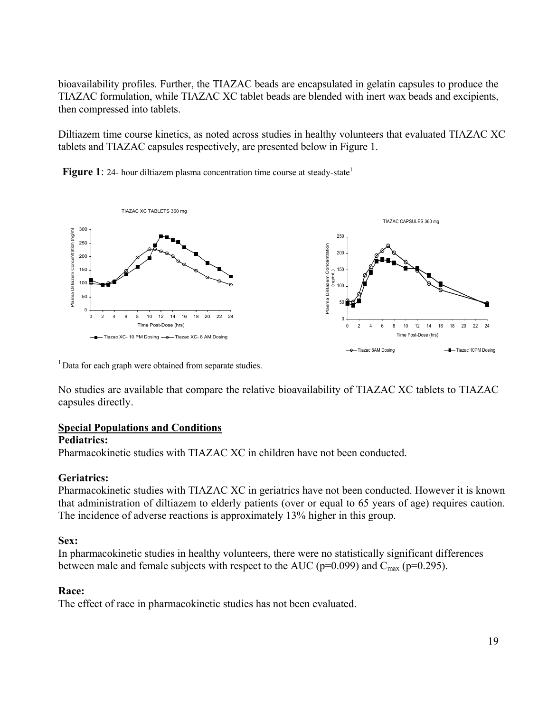bioavailability profiles. Further, the TIAZAC beads are encapsulated in gelatin capsules to produce the TIAZAC formulation, while TIAZAC XC tablet beads are blended with inert wax beads and excipients, then compressed into tablets.

Diltiazem time course kinetics, as noted across studies in healthy volunteers that evaluated TIAZAC XC tablets and TIAZAC capsules respectively, are presented below in Figure 1.

**Figure 1**: 24- hour diltiazem plasma concentration time course at steady-state<sup>1</sup>



<sup>1</sup> Data for each graph were obtained from separate studies.

No studies are available that compare the relative bioavailability of TIAZAC XC tablets to TIAZAC capsules directly.

### **Special Populations and Conditions**

#### **Pediatrics:**

Pharmacokinetic studies with TIAZAC XC in children have not been conducted.

### **Geriatrics:**

Pharmacokinetic studies with TIAZAC XC in geriatrics have not been conducted. However it is known that administration of diltiazem to elderly patients (over or equal to 65 years of age) requires caution. The incidence of adverse reactions is approximately 13% higher in this group.

### **Sex:**

In pharmacokinetic studies in healthy volunteers, there were no statistically significant differences between male and female subjects with respect to the AUC ( $p=0.099$ ) and  $C_{\text{max}}$  ( $p=0.295$ ).

### **Race:**

The effect of race in pharmacokinetic studies has not been evaluated.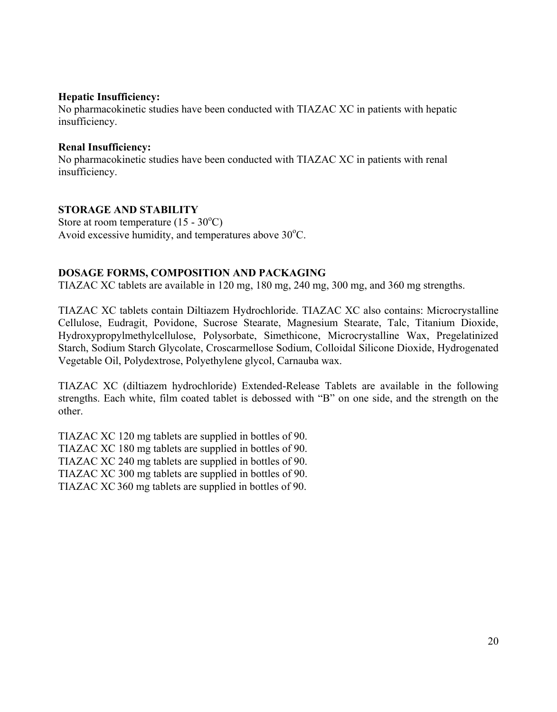#### **Hepatic Insufficiency:**

No pharmacokinetic studies have been conducted with TIAZAC XC in patients with hepatic insufficiency.

#### **Renal Insufficiency:**

No pharmacokinetic studies have been conducted with TIAZAC XC in patients with renal insufficiency.

## **STORAGE AND STABILITY**

Store at room temperature  $(15 - 30^{\circ}C)$ Avoid excessive humidity, and temperatures above  $30^{\circ}$ C.

### **DOSAGE FORMS, COMPOSITION AND PACKAGING**

TIAZAC XC tablets are available in 120 mg, 180 mg, 240 mg, 300 mg, and 360 mg strengths.

TIAZAC XC tablets contain Diltiazem Hydrochloride. TIAZAC XC also contains: Microcrystalline Cellulose, Eudragit, Povidone, Sucrose Stearate, Magnesium Stearate, Talc, Titanium Dioxide, Hydroxypropylmethylcellulose, Polysorbate, Simethicone, Microcrystalline Wax, Pregelatinized Starch, Sodium Starch Glycolate, Croscarmellose Sodium, Colloidal Silicone Dioxide, Hydrogenated Vegetable Oil, Polydextrose, Polyethylene glycol, Carnauba wax.

TIAZAC XC (diltiazem hydrochloride) Extended-Release Tablets are available in the following strengths. Each white, film coated tablet is debossed with "B" on one side, and the strength on the other.

TIAZAC XC 120 mg tablets are supplied in bottles of 90. TIAZAC XC 180 mg tablets are supplied in bottles of 90. TIAZAC XC 240 mg tablets are supplied in bottles of 90. TIAZAC XC 300 mg tablets are supplied in bottles of 90. TIAZAC XC360 mg tablets are supplied in bottles of 90.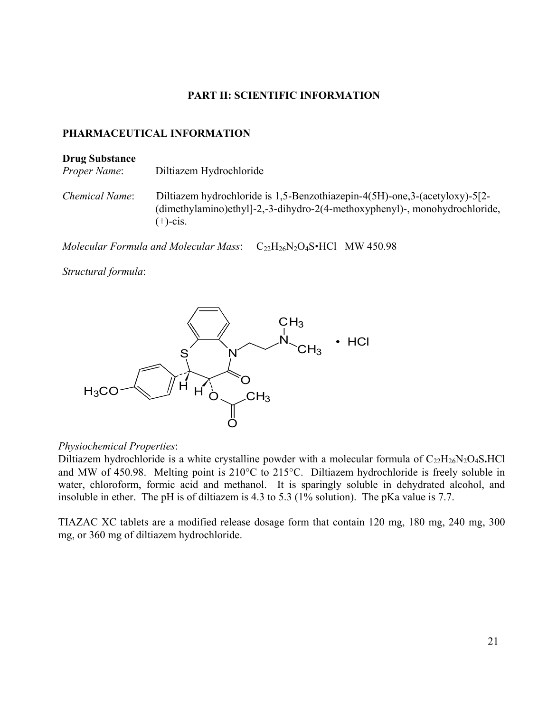#### **PART II: SCIENTIFIC INFORMATION**

#### **PHARMACEUTICAL INFORMATION**

#### **Drug Substance**

*Proper Name*: Diltiazem Hydrochloride

*Chemical Name*: Diltiazem hydrochloride is 1,5-Benzothiazepin-4(5H)-one,3-(acetyloxy)-5[2- (dimethylamino)ethyl]-2,-3-dihydro-2(4-methoxyphenyl)-, monohydrochloride,  $(+)$ -cis.

*Molecular Formula and Molecular Mass*:  $C_{22}H_{26}N_2O_4S$ •HCl MW 450.98

*Structural formula*:



#### *Physiochemical Properties*:

Diltiazem hydrochloride is a white crystalline powder with a molecular formula of C<sub>22</sub>H<sub>26</sub>N<sub>2</sub>O<sub>4</sub>S**.**HCl and MW of 450.98. Melting point is  $210^{\circ}$ C to  $215^{\circ}$ C. Diltiazem hydrochloride is freely soluble in water, chloroform, formic acid and methanol. It is sparingly soluble in dehydrated alcohol, and insoluble in ether. The pH is of diltiazem is 4.3 to 5.3 (1% solution). The pKa value is 7.7.

TIAZAC XC tablets are a modified release dosage form that contain 120 mg, 180 mg, 240 mg, 300 mg, or 360 mg of diltiazem hydrochloride.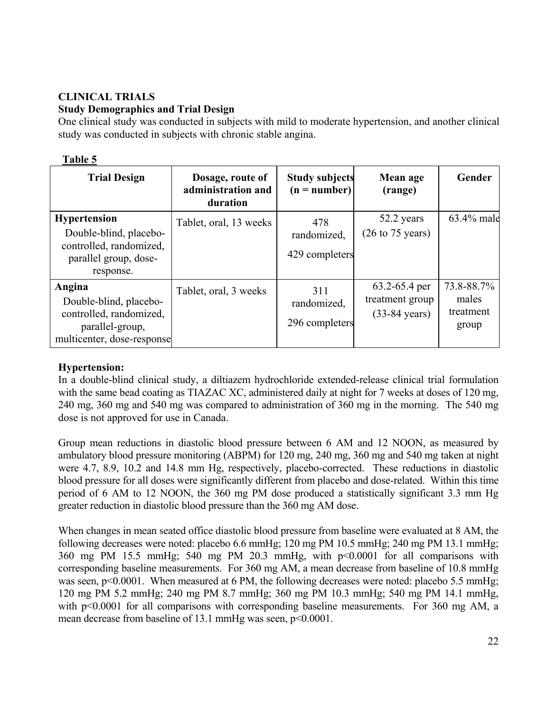# **CLINICAL TRIALS Study Demographics and Trial Design**

One clinical study was conducted in subjects with mild to moderate hypertension, and another clinical study was conducted in subjects with chronic stable angina.

#### **Table 5**

| <b>Trial Design</b>                                                                                            | Dosage, route of<br>administration and<br>duration | <b>Study subjects</b><br>$(n = number)$ | Mean age<br>(range)                                             | Gender                                    |
|----------------------------------------------------------------------------------------------------------------|----------------------------------------------------|-----------------------------------------|-----------------------------------------------------------------|-------------------------------------------|
| <b>Hypertension</b><br>Double-blind, placebo-<br>controlled, randomized,<br>parallel group, dose-<br>response. | Tablet, oral, 13 weeks                             | 478<br>randomized,<br>429 completers    | 52.2 years<br>$(26 \text{ to } 75 \text{ years})$               | 63.4% male                                |
| Angina<br>Double-blind, placebo-<br>controlled, randomized,<br>parallel-group,<br>multicenter, dose-response   | Tablet, oral, 3 weeks                              | 311<br>randomized,<br>296 completers    | $63.2 - 65.4$ per<br>treatment group<br>$(33-84 \text{ years})$ | 73.8-88.7%<br>males<br>treatment<br>group |

### **Hypertension:**

In a double-blind clinical study, a diltiazem hydrochloride extended-release clinical trial formulation with the same bead coating as TIAZAC XC, administered daily at night for 7 weeks at doses of 120 mg, 240 mg, 360 mg and 540 mg was compared to administration of 360 mg in the morning. The 540 mg dose is not approved for use in Canada.

Group mean reductions in diastolic blood pressure between 6 AM and 12 NOON, as measured by ambulatory blood pressure monitoring (ABPM) for 120 mg, 240 mg, 360 mg and 540 mg taken at night were 4.7, 8.9, 10.2 and 14.8 mm Hg, respectively, placebo-corrected. These reductions in diastolic blood pressure for all doses were significantly different from placebo and dose-related. Within this time period of 6 AM to 12 NOON, the 360 mg PM dose produced a statistically significant 3.3 mm Hg greater reduction in diastolic blood pressure than the 360 mg AM dose.

When changes in mean seated office diastolic blood pressure from baseline were evaluated at 8 AM, the following decreases were noted: placebo 6.6 mmHg; 120 mg PM 10.5 mmHg; 240 mg PM 13.1 mmHg; 360 mg PM 15.5 mmHg; 540 mg PM 20.3 mmHg, with p<0.0001 for all comparisons with corresponding baseline measurements. For 360 mg AM, a mean decrease from baseline of 10.8 mmHg was seen,  $p<0.0001$ . When measured at 6 PM, the following decreases were noted: placebo 5.5 mmHg; 120 mg PM 5.2 mmHg; 240 mg PM 8.7 mmHg; 360 mg PM 10.3 mmHg; 540 mg PM 14.1 mmHg, with p<0.0001 for all comparisons with corresponding baseline measurements. For 360 mg AM, a mean decrease from baseline of 13.1 mmHg was seen,  $p<0.0001$ .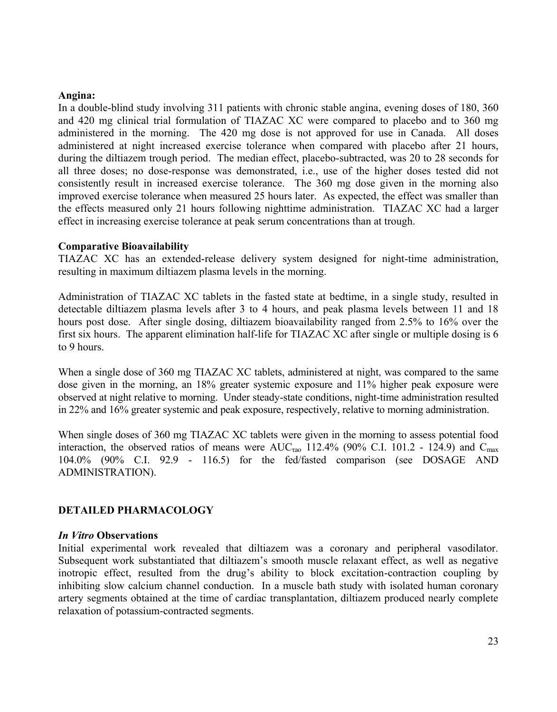#### **Angina:**

In a double-blind study involving 311 patients with chronic stable angina, evening doses of 180, 360 and 420 mg clinical trial formulation of TIAZAC XC were compared to placebo and to 360 mg administered in the morning. The 420 mg dose is not approved for use in Canada. All doses administered at night increased exercise tolerance when compared with placebo after 21 hours, during the diltiazem trough period. The median effect, placebo-subtracted, was 20 to 28 seconds for all three doses; no dose-response was demonstrated, i.e., use of the higher doses tested did not consistently result in increased exercise tolerance. The 360 mg dose given in the morning also improved exercise tolerance when measured 25 hours later. As expected, the effect was smaller than the effects measured only 21 hours following nighttime administration. TIAZAC XC had a larger effect in increasing exercise tolerance at peak serum concentrations than at trough.

#### **Comparative Bioavailability**

TIAZAC XC has an extended-release delivery system designed for night-time administration, resulting in maximum diltiazem plasma levels in the morning.

Administration of TIAZAC XC tablets in the fasted state at bedtime, in a single study, resulted in detectable diltiazem plasma levels after 3 to 4 hours, and peak plasma levels between 11 and 18 hours post dose. After single dosing, diltiazem bioavailability ranged from 2.5% to 16% over the first six hours. The apparent elimination half-life for TIAZAC XC after single or multiple dosing is 6 to 9 hours.

When a single dose of 360 mg TIAZAC XC tablets, administered at night, was compared to the same dose given in the morning, an 18% greater systemic exposure and 11% higher peak exposure were observed at night relative to morning. Under steady-state conditions, night-time administration resulted in 22% and 16% greater systemic and peak exposure, respectively, relative to morning administration.

When single doses of 360 mg TIAZAC XC tablets were given in the morning to assess potential food interaction, the observed ratios of means were  $AUC_{\tau a0}$  112.4% (90% C.I. 101.2 - 124.9) and  $C_{\tau a\alpha}$ 104.0% (90% C.I. 92.9 - 116.5) for the fed/fasted comparison (see DOSAGE AND ADMINISTRATION).

#### **DETAILED PHARMACOLOGY**

#### *In Vitro* **Observations**

Initial experimental work revealed that diltiazem was a coronary and peripheral vasodilator. Subsequent work substantiated that diltiazem's smooth muscle relaxant effect, as well as negative inotropic effect, resulted from the drug's ability to block excitation-contraction coupling by inhibiting slow calcium channel conduction. In a muscle bath study with isolated human coronary artery segments obtained at the time of cardiac transplantation, diltiazem produced nearly complete relaxation of potassium-contracted segments.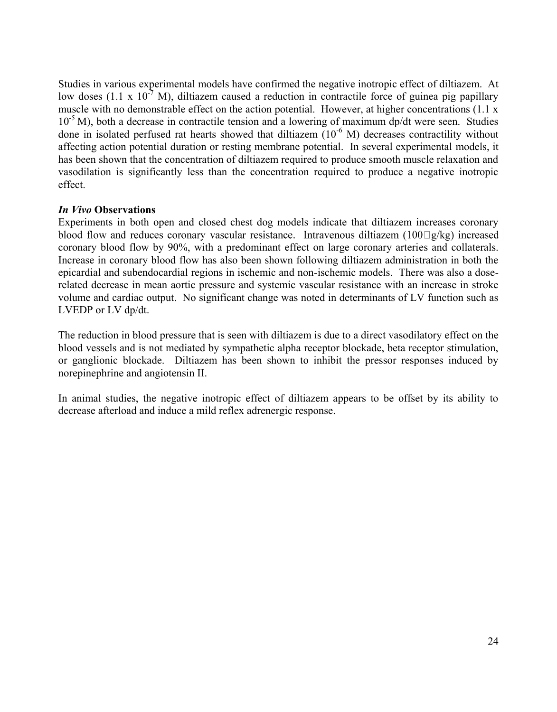Studies in various experimental models have confirmed the negative inotropic effect of diltiazem. At low doses (1.1 x 10<sup>-7</sup> M), diltiazem caused a reduction in contractile force of guinea pig papillary muscle with no demonstrable effect on the action potential. However, at higher concentrations (1.1 x  $10^{-5}$  M), both a decrease in contractile tension and a lowering of maximum dp/dt were seen. Studies done in isolated perfused rat hearts showed that diltiazem  $(10^{-6}$  M) decreases contractility without affecting action potential duration or resting membrane potential. In several experimental models, it has been shown that the concentration of diltiazem required to produce smooth muscle relaxation and vasodilation is significantly less than the concentration required to produce a negative inotropic effect.

#### *In Vivo* **Observations**

Experiments in both open and closed chest dog models indicate that diltiazem increases coronary blood flow and reduces coronary vascular resistance. Intravenous diltiazem  $(100 \Box g/kg)$  increased coronary blood flow by 90%, with a predominant effect on large coronary arteries and collaterals. Increase in coronary blood flow has also been shown following diltiazem administration in both the epicardial and subendocardial regions in ischemic and non-ischemic models. There was also a doserelated decrease in mean aortic pressure and systemic vascular resistance with an increase in stroke volume and cardiac output. No significant change was noted in determinants of LV function such as LVEDP or LV dp/dt.

The reduction in blood pressure that is seen with diltiazem is due to a direct vasodilatory effect on the blood vessels and is not mediated by sympathetic alpha receptor blockade, beta receptor stimulation, or ganglionic blockade. Diltiazem has been shown to inhibit the pressor responses induced by norepinephrine and angiotensin II.

In animal studies, the negative inotropic effect of diltiazem appears to be offset by its ability to decrease afterload and induce a mild reflex adrenergic response.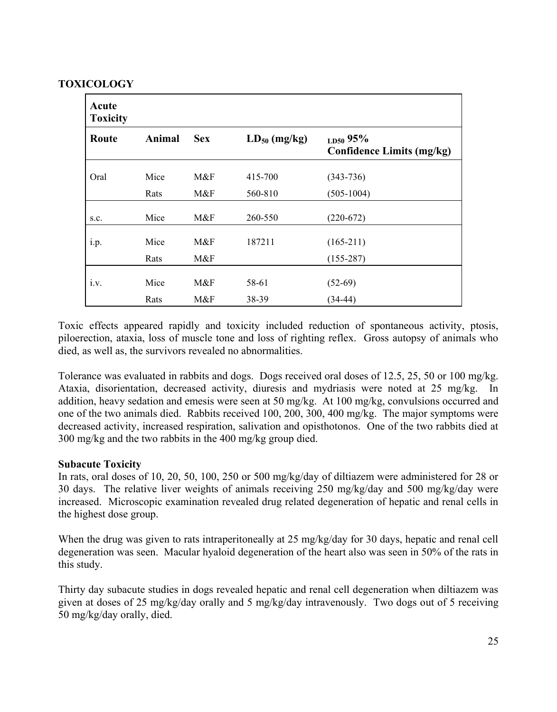## **TOXICOLOGY**

| Acute<br><b>Toxicity</b> |               |            |                   |                                                   |
|--------------------------|---------------|------------|-------------------|---------------------------------------------------|
| Route                    | <b>Animal</b> | <b>Sex</b> | $LD_{50}$ (mg/kg) | $_{LD50}$ 95%<br><b>Confidence Limits (mg/kg)</b> |
| Oral                     | Mice          | M&F        | 415-700           | $(343 - 736)$                                     |
|                          | Rats          | M&F        | 560-810           | $(505-1004)$                                      |
| S.C.                     | Mice          | M&F        | 260-550           | $(220-672)$                                       |
| i.p.                     | Mice          | M&F        | 187211            | $(165-211)$                                       |
|                          | Rats          | M&F        |                   | $(155-287)$                                       |
| i.v.                     | Mice          | M&F        | 58-61             | $(52-69)$                                         |
|                          | Rats          | M&F        | 38-39             | $(34-44)$                                         |

Toxic effects appeared rapidly and toxicity included reduction of spontaneous activity, ptosis, piloerection, ataxia, loss of muscle tone and loss of righting reflex. Gross autopsy of animals who died, as well as, the survivors revealed no abnormalities.

Tolerance was evaluated in rabbits and dogs. Dogs received oral doses of 12.5, 25, 50 or 100 mg/kg. Ataxia, disorientation, decreased activity, diuresis and mydriasis were noted at 25 mg/kg. In addition, heavy sedation and emesis were seen at 50 mg/kg. At 100 mg/kg, convulsions occurred and one of the two animals died. Rabbits received 100, 200, 300, 400 mg/kg. The major symptoms were decreased activity, increased respiration, salivation and opisthotonos. One of the two rabbits died at 300 mg/kg and the two rabbits in the 400 mg/kg group died.

### **Subacute Toxicity**

In rats, oral doses of 10, 20, 50, 100, 250 or 500 mg/kg/day of diltiazem were administered for 28 or 30 days. The relative liver weights of animals receiving 250 mg/kg/day and 500 mg/kg/day were increased. Microscopic examination revealed drug related degeneration of hepatic and renal cells in the highest dose group.

When the drug was given to rats intraperitoneally at 25 mg/kg/day for 30 days, hepatic and renal cell degeneration was seen. Macular hyaloid degeneration of the heart also was seen in 50% of the rats in this study.

Thirty day subacute studies in dogs revealed hepatic and renal cell degeneration when diltiazem was given at doses of 25 mg/kg/day orally and 5 mg/kg/day intravenously. Two dogs out of 5 receiving 50 mg/kg/day orally, died.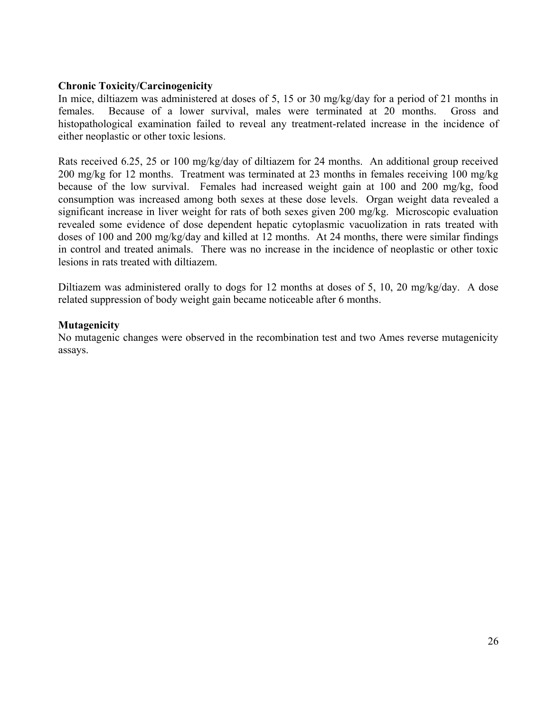#### **Chronic Toxicity/Carcinogenicity**

In mice, diltiazem was administered at doses of 5, 15 or 30 mg/kg/day for a period of 21 months in females. Because of a lower survival, males were terminated at 20 months. Gross and histopathological examination failed to reveal any treatment-related increase in the incidence of either neoplastic or other toxic lesions.

Rats received 6.25, 25 or 100 mg/kg/day of diltiazem for 24 months. An additional group received 200 mg/kg for 12 months. Treatment was terminated at 23 months in females receiving 100 mg/kg because of the low survival. Females had increased weight gain at 100 and 200 mg/kg, food consumption was increased among both sexes at these dose levels. Organ weight data revealed a significant increase in liver weight for rats of both sexes given 200 mg/kg. Microscopic evaluation revealed some evidence of dose dependent hepatic cytoplasmic vacuolization in rats treated with doses of 100 and 200 mg/kg/day and killed at 12 months. At 24 months, there were similar findings in control and treated animals. There was no increase in the incidence of neoplastic or other toxic lesions in rats treated with diltiazem.

Diltiazem was administered orally to dogs for 12 months at doses of 5, 10, 20 mg/kg/day. A dose related suppression of body weight gain became noticeable after 6 months.

#### **Mutagenicity**

No mutagenic changes were observed in the recombination test and two Ames reverse mutagenicity assays.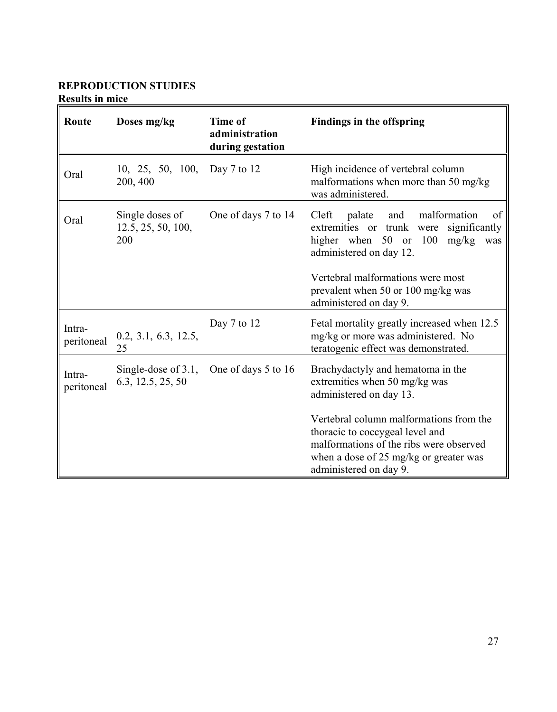# **REPRODUCTION STUDIES**

**Results in mice**

| Route                | Doses mg/kg                                  | Time of<br>administration<br>during gestation | <b>Findings in the offspring</b>                                                                                                                                                                                                                                                           |  |
|----------------------|----------------------------------------------|-----------------------------------------------|--------------------------------------------------------------------------------------------------------------------------------------------------------------------------------------------------------------------------------------------------------------------------------------------|--|
| Oral                 | 10, 25, 50, 100, Day 7 to 12<br>200, 400     |                                               | High incidence of vertebral column<br>malformations when more than 50 mg/kg<br>was administered.                                                                                                                                                                                           |  |
| Oral                 | Single doses of<br>12.5, 25, 50, 100,<br>200 | One of days 7 to 14                           | malformation<br>Cleft<br>palate<br>and<br>of<br>extremities or trunk<br>significantly<br>were<br>higher when 50 or 100<br>mg/kg<br>was<br>administered on day 12.                                                                                                                          |  |
|                      |                                              |                                               | Vertebral malformations were most<br>prevalent when 50 or 100 mg/kg was<br>administered on day 9.                                                                                                                                                                                          |  |
| Intra-<br>peritoneal | 0.2, 3.1, 6.3, 12.5,<br>25                   | Day 7 to 12                                   | Fetal mortality greatly increased when 12.5<br>mg/kg or more was administered. No<br>teratogenic effect was demonstrated.                                                                                                                                                                  |  |
| Intra-<br>peritoneal | Single-dose of $3.1$ ,<br>6.3, 12.5, 25, 50  | One of days 5 to 16                           | Brachydactyly and hematoma in the<br>extremities when 50 mg/kg was<br>administered on day 13.<br>Vertebral column malformations from the<br>thoracic to coccygeal level and<br>malformations of the ribs were observed<br>when a dose of 25 mg/kg or greater was<br>administered on day 9. |  |
|                      |                                              |                                               |                                                                                                                                                                                                                                                                                            |  |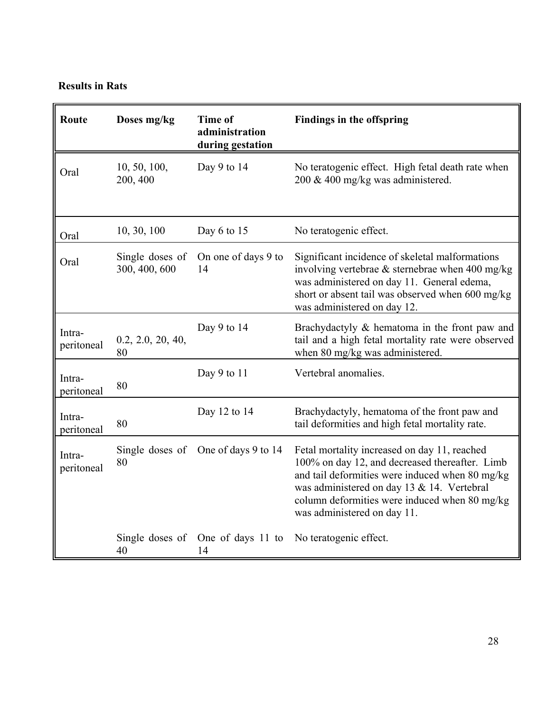# **Results in Rats**

| Route                | Doses mg/kg                      | Time of<br>administration<br>during gestation | <b>Findings in the offspring</b>                                                                                                                                                                                                                                                |  |
|----------------------|----------------------------------|-----------------------------------------------|---------------------------------------------------------------------------------------------------------------------------------------------------------------------------------------------------------------------------------------------------------------------------------|--|
| Oral                 | 10, 50, 100,<br>200, 400         | Day 9 to 14                                   | No teratogenic effect. High fetal death rate when<br>200 & 400 mg/kg was administered.                                                                                                                                                                                          |  |
| Oral                 | 10, 30, 100                      | Day 6 to 15                                   | No teratogenic effect.                                                                                                                                                                                                                                                          |  |
| Oral                 | Single doses of<br>300, 400, 600 | On one of days 9 to<br>14                     | Significant incidence of skeletal malformations<br>involving vertebrae $\&$ sternebrae when 400 mg/kg<br>was administered on day 11. General edema,<br>short or absent tail was observed when 600 mg/kg<br>was administered on day 12.                                          |  |
| Intra-<br>peritoneal | 0.2, 2.0, 20, 40,<br>80          | Day 9 to $14$                                 | Brachydactyly & hematoma in the front paw and<br>tail and a high fetal mortality rate were observed<br>when 80 mg/kg was administered.                                                                                                                                          |  |
| Intra-<br>peritoneal | 80                               | Day 9 to 11                                   | Vertebral anomalies.                                                                                                                                                                                                                                                            |  |
| Intra-<br>peritoneal | 80                               | Day 12 to 14                                  | Brachydactyly, hematoma of the front paw and<br>tail deformities and high fetal mortality rate.                                                                                                                                                                                 |  |
| Intra-<br>peritoneal | 80                               | Single doses of One of days 9 to 14           | Fetal mortality increased on day 11, reached<br>100% on day 12, and decreased thereafter. Limb<br>and tail deformities were induced when 80 mg/kg<br>was administered on day 13 & 14. Vertebral<br>column deformities were induced when 80 mg/kg<br>was administered on day 11. |  |
|                      | 40                               | Single doses of One of days 11 to<br>14       | No teratogenic effect.                                                                                                                                                                                                                                                          |  |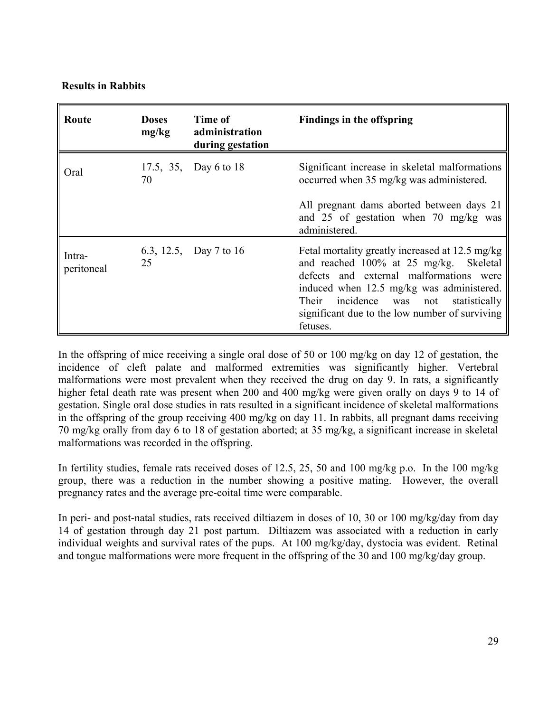#### **Results in Rabbits**

| Route                | <b>Doses</b><br>mg/kg | Time of<br>administration<br>during gestation | Findings in the offspring                                                                                                                                                                                                                                                                         |  |
|----------------------|-----------------------|-----------------------------------------------|---------------------------------------------------------------------------------------------------------------------------------------------------------------------------------------------------------------------------------------------------------------------------------------------------|--|
| Oral                 | 70                    | 17.5, 35, Day 6 to 18                         | Significant increase in skeletal malformations<br>occurred when 35 mg/kg was administered.                                                                                                                                                                                                        |  |
|                      |                       |                                               | All pregnant dams aborted between days 21<br>and 25 of gestation when 70 mg/kg was<br>administered.                                                                                                                                                                                               |  |
| Intra-<br>peritoneal | 25                    | 6.3, 12.5, Day 7 to 16                        | Fetal mortality greatly increased at 12.5 mg/kg<br>and reached 100% at 25 mg/kg. Skeletal<br>defects and external malformations were<br>induced when 12.5 mg/kg was administered.<br>incidence<br>Their<br>statistically<br>was not<br>significant due to the low number of surviving<br>fetuses. |  |

In the offspring of mice receiving a single oral dose of 50 or 100 mg/kg on day 12 of gestation, the incidence of cleft palate and malformed extremities was significantly higher. Vertebral malformations were most prevalent when they received the drug on day 9. In rats, a significantly higher fetal death rate was present when 200 and 400 mg/kg were given orally on days 9 to 14 of gestation. Single oral dose studies in rats resulted in a significant incidence of skeletal malformations in the offspring of the group receiving 400 mg/kg on day 11. In rabbits, all pregnant dams receiving 70 mg/kg orally from day 6 to 18 of gestation aborted; at 35 mg/kg, a significant increase in skeletal malformations was recorded in the offspring.

In fertility studies, female rats received doses of 12.5, 25, 50 and 100 mg/kg p.o. In the 100 mg/kg group, there was a reduction in the number showing a positive mating. However, the overall pregnancy rates and the average pre-coital time were comparable.

In peri- and post-natal studies, rats received diltiazem in doses of 10, 30 or 100 mg/kg/day from day 14 of gestation through day 21 post partum. Diltiazem was associated with a reduction in early individual weights and survival rates of the pups. At 100 mg/kg/day, dystocia was evident. Retinal and tongue malformations were more frequent in the offspring of the 30 and 100 mg/kg/day group.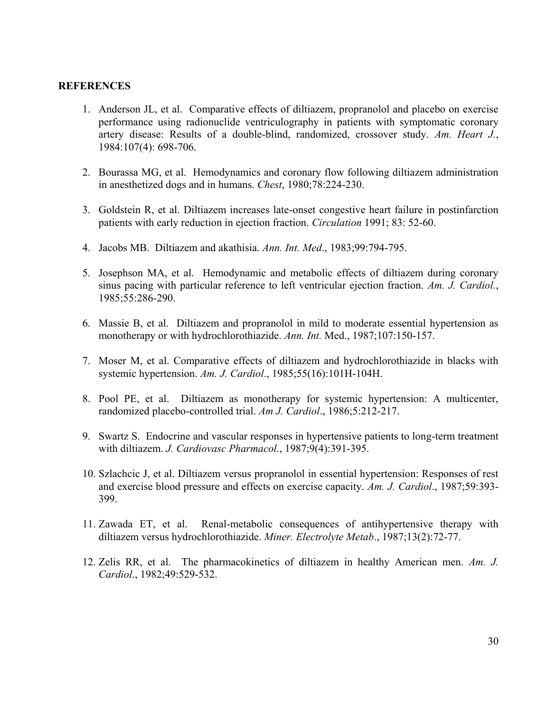#### **REFERENCES**

- 1. Anderson JL, et al. Comparative effects of diltiazem, propranolol and placebo on exercise performance using radionuclide ventriculography in patients with symptomatic coronary artery disease: Results of a double-blind, randomized, crossover study. *Am. Heart J.*, 1984:107(4): 698-706.
- 2. Bourassa MG, et al. Hemodynamics and coronary flow following diltiazem administration in anesthetized dogs and in humans. *Chest*, 1980;78:224-230.
- 3. Goldstein R, et al. Diltiazem increases late-onset congestive heart failure in postinfarction patients with early reduction in ejection fraction. *Circulation* 1991; 83: 52-60.
- 4. Jacobs MB. Diltiazem and akathisia. *Ann. Int. Med*., 1983;99:794-795.
- 5. Josephson MA, et al. Hemodynamic and metabolic effects of diltiazem during coronary sinus pacing with particular reference to left ventricular ejection fraction. *Am. J. Cardiol.*, 1985;55:286-290.
- 6. Massie B, et al. Diltiazem and propranolol in mild to moderate essential hypertension as monotherapy or with hydrochlorothiazide. *Ann. Int.* Med., 1987;107:150-157.
- 7. Moser M, et al. Comparative effects of diltiazem and hydrochlorothiazide in blacks with systemic hypertension. *Am. J. Cardiol*., 1985;55(16):101H-104H.
- 8. Pool PE, et al. Diltiazem as monotherapy for systemic hypertension: A multicenter, randomized placebo-controlled trial. *Am J. Cardiol*., 1986;5:212-217.
- 9. Swartz S. Endocrine and vascular responses in hypertensive patients to long-term treatment with diltiazem. *J. Cardiovasc Pharmacol.*, 1987;9(4):391-395.
- 10. Szlachcic J, et al. Diltiazem versus propranolol in essential hypertension: Responses of rest and exercise blood pressure and effects on exercise capacity. *Am. J. Cardiol*., 1987;59:393- 399.
- 11. Zawada ET, et al. Renal-metabolic consequences of antihypertensive therapy with diltiazem versus hydrochlorothiazide. *Miner. Electrolyte Metab*., 1987;13(2):72-77.
- 12. Zelis RR, et al. The pharmacokinetics of diltiazem in healthy American men. *Am. J. Cardiol*., 1982;49:529-532.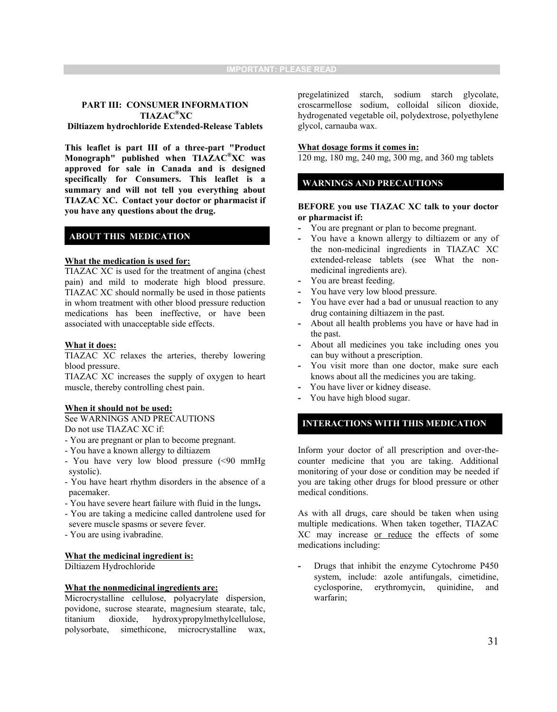#### **PART III: CONSUMER INFORMATION TIAZAC®XC**

**Diltiazem hydrochloride Extended-Release Tablets**

**This leaflet is part III of a three-part "Product Monograph" published when TIAZAC®XC was approved for sale in Canada and is designed specifically for Consumers. This leaflet is a summary and will not tell you everything about TIAZAC XC. Contact your doctor or pharmacist if you have any questions about the drug.** 

#### **ABOUT THIS MEDICATION**

#### **What the medication is used for:**

TIAZAC XC is used for the treatment of angina (chest pain) and mild to moderate high blood pressure. TIAZAC XC should normally be used in those patients in whom treatment with other blood pressure reduction medications has been ineffective, or have been associated with unacceptable side effects.

#### **What it does:**

TIAZAC XC relaxes the arteries, thereby lowering blood pressure.

TIAZAC XC increases the supply of oxygen to heart muscle, thereby controlling chest pain.

#### **When it should not be used:**

See WARNINGS AND PRECAUTIONS Do not use TIAZAC XC if:

- You are pregnant or plan to become pregnant.
- You have a known allergy to diltiazem
- You have very low blood pressure (<90 mmHg systolic).
- You have heart rhythm disorders in the absence of a pacemaker.
- You have severe heart failure with fluid in the lungs**.**
- You are taking a medicine called dantrolene used for
- severe muscle spasms or severe fever. - You are using ivabradine.

#### **What the medicinal ingredient is:**

Diltiazem Hydrochloride

#### **What the nonmedicinal ingredients are:**

Microcrystalline cellulose, polyacrylate dispersion, povidone, sucrose stearate, magnesium stearate, talc, titanium dioxide, hydroxypropylmethylcellulose, polysorbate, simethicone, microcrystalline wax, pregelatinized starch, sodium starch glycolate, croscarmellose sodium, colloidal silicon dioxide, hydrogenated vegetable oil, polydextrose, polyethylene glycol, carnauba wax.

#### **What dosage forms it comes in:**

120 mg, 180 mg, 240 mg, 300 mg, and 360 mg tablets

#### **WARNINGS AND PRECAUTIONS**

#### **BEFORE you use TIAZAC XC talk to your doctor or pharmacist if:**

- **-** You are pregnant or plan to become pregnant.
- **-** You have a known allergy to diltiazem or any of the non-medicinal ingredients in TIAZAC XC extended-release tablets (see What the nonmedicinal ingredients are).
- **-** You are breast feeding.
- **-** You have very low blood pressure.
- **-** You have ever had a bad or unusual reaction to any drug containing diltiazem in the past.
- **-** About all health problems you have or have had in the past.
- **-** About all medicines you take including ones you can buy without a prescription.
- **-** You visit more than one doctor, make sure each knows about all the medicines you are taking.
- **-** You have liver or kidney disease.
- **-** You have high blood sugar.

#### **INTERACTIONS WITH THIS MEDICATION**

Inform your doctor of all prescription and over-thecounter medicine that you are taking. Additional monitoring of your dose or condition may be needed if you are taking other drugs for blood pressure or other medical conditions.

As with all drugs, care should be taken when using multiple medications. When taken together, TIAZAC XC may increase or reduce the effects of some medications including:

**-** Drugs that inhibit the enzyme Cytochrome P450 system, include: azole antifungals, cimetidine, cyclosporine, erythromycin, quinidine, and warfarin;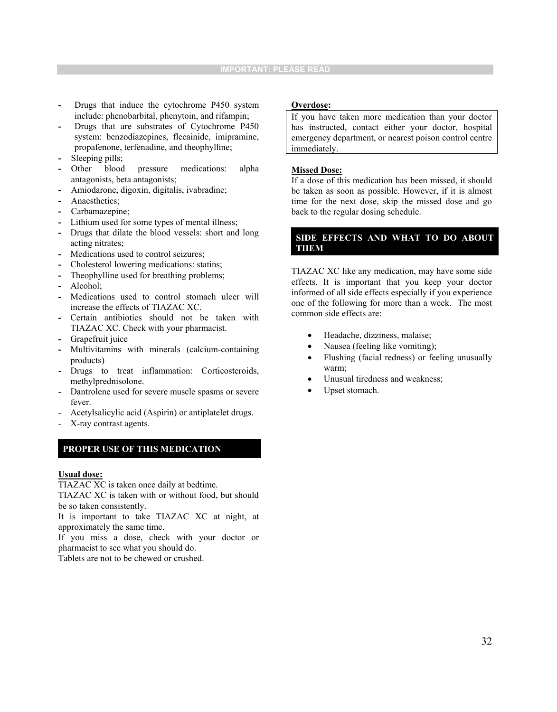- **-** Drugs that induce the cytochrome P450 system include: phenobarbital, phenytoin, and rifampin;
- **-** Drugs that are substrates of Cytochrome P450 system: benzodiazepines, flecainide, imipramine, propafenone, terfenadine, and theophylline;
- **-** Sleeping pills;
- Other blood pressure medications: alpha antagonists, beta antagonists;
- **-** Amiodarone, digoxin, digitalis, ivabradine;
- **-** Anaesthetics;
- **-** Carbamazepine;
- **-** Lithium used for some types of mental illness;
- **-** Drugs that dilate the blood vessels: short and long acting nitrates;
- **-** Medications used to control seizures;
- **-** Cholesterol lowering medications: statins;
- **-** Theophylline used for breathing problems;
- **-** Alcohol;
- **-** Medications used to control stomach ulcer will increase the effects of TIAZAC XC.
- **-** Certain antibiotics should not be taken with TIAZAC XC. Check with your pharmacist.
- **-** Grapefruit juice
- **-** Multivitamins with minerals (calcium-containing products)
- Drugs to treat inflammation: Corticosteroids, methylprednisolone.
- Dantrolene used for severe muscle spasms or severe fever.
- Acetylsalicylic acid (Aspirin) or antiplatelet drugs.
- X-ray contrast agents.

#### **PROPER USE OF THIS MEDICATION**

#### **Usual dose:**

TIAZAC XC is taken once daily at bedtime.

TIAZAC XC is taken with or without food, but should be so taken consistently.

It is important to take TIAZAC XC at night, at approximately the same time.

If you miss a dose, check with your doctor or pharmacist to see what you should do.

Tablets are not to be chewed or crushed.

#### **Overdose:**

If you have taken more medication than your doctor has instructed, contact either your doctor, hospital emergency department, or nearest poison control centre immediately.

#### **Missed Dose:**

If a dose of this medication has been missed, it should be taken as soon as possible. However, if it is almost time for the next dose, skip the missed dose and go back to the regular dosing schedule.

#### **SIDE EFFECTS AND WHAT TO DO ABOUT THEM**

TIAZAC XC like any medication, may have some side effects. It is important that you keep your doctor informed of all side effects especially if you experience one of the following for more than a week. The most common side effects are:

- Headache, dizziness, malaise;
- Nausea (feeling like vomiting);
- Flushing (facial redness) or feeling unusually warm;
- Unusual tiredness and weakness;
- Upset stomach.